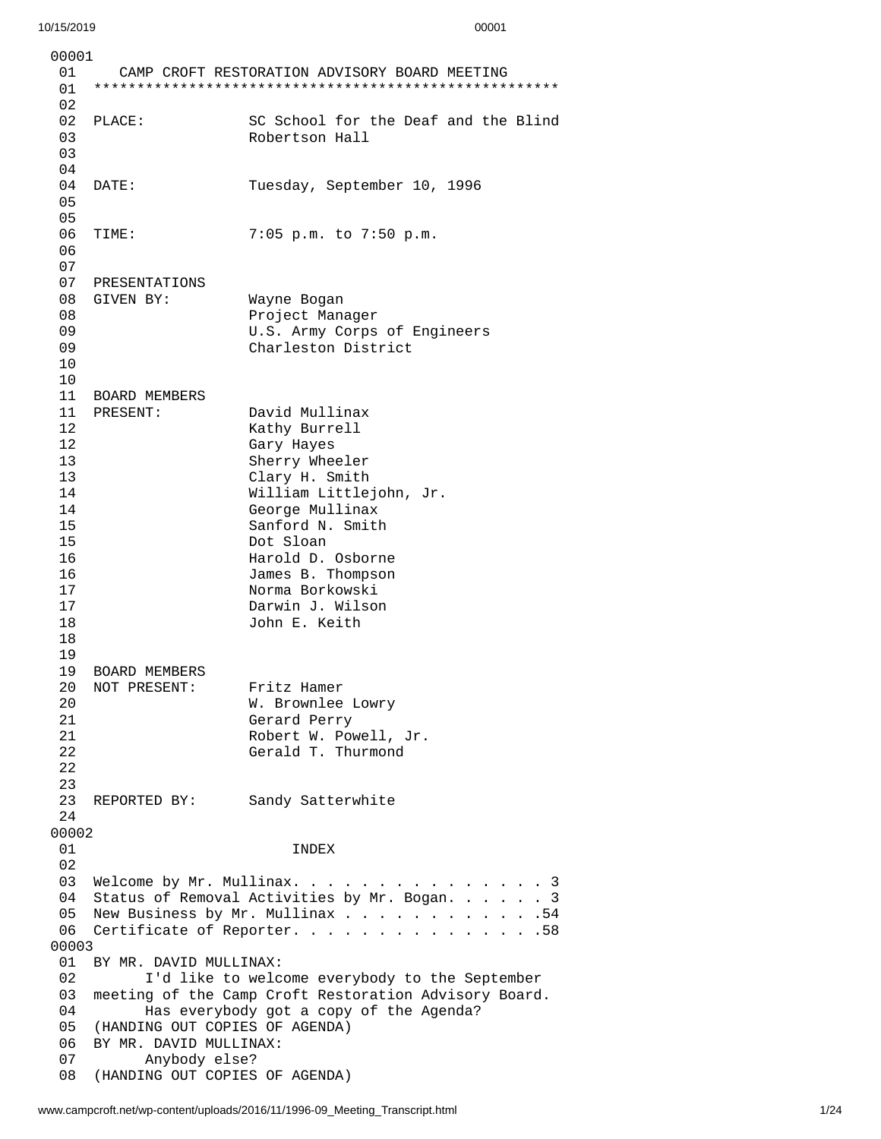0 0 0 0 1 0 1 CAMP CROFT RESTORATION ADVISORY BOARD MEETING 0 1 \* \* \* \* \* \* \* \* \* \* \* \* \* \* \* \* \* \* \* \* \* \* \* \* \* \* \* \* \* \* \* \* \* \* \* \* \* \* \* \* \* \* \* \* \* \* \* \* \* \* \* \* \* \* 0 2 02 PLACE: S C School for the Deaf and the Blind 0 3 Robertson Hall 0 3 0 4 0 4 D A T E: T uesday, September 10, 1996 0 5 0 5 0 6 T I M E: 7:0 5 p.m. t o 7:5 0 p.m. 06<br>07 PRESENTATIONS 08 GIVEN BY: Wayne Bogan 08 Project Manager 09 U.S. Army Corps of Eng i n e e r s 0 9 Charleston District 1 0 1 0 11 BOARD MEMBERS 11 PRESENT: Da avid Mullinax 1 2 Kathy Burrell 1 2 Gary Hayes 1 3 Sherry Wheeler 1 3 Clary H. Smith 1 4 William Littlejohn, Jr. 14 George Mullinax 15 Sanford N. Smith Dot Sloan 16 Harold D. Osborne 16 James B. Thompson 17 Norma Borkowski 17 Darwin J. Wilson 18 John E. Keith 19<br>19 BOARD MEMBERS 20 NOT PRESENT: Fritz Hamer 20 W. Brownlee Lowry 21 Gerard Perry<br>21 Gerard Perry 21 Robert W. Powell, Jr.<br>22 Gerald T. Thurmond 22 Gerald T. Thurmond 23<br>23 REPORTED BY: Sandy Satterwhite 24 0 0 0 0 2 0 1 I N D E X 0 2 03 Welcome by Mr. Mullinax. . . . . . . . . . . . . . . . 3 04 Status of Removal Activities by Mr. Bogan. . . . . . 3 05 New Business by Mr. Mullinax . . . . . . . . . . . . . 54 06 Certificate of Reporter. . . . . . . . . . . . . . . . 58 0 0 0 0 3 01 BY MR. DAVID MULLINAX: 02 I'd like to welcome everybody to the September 0 3 meeting of the Camp Croft Restoration Advisory Board. 04 Has everybody got a copy of the Agenda? 05 (HANDING OUT COPIES OF AGENDA) 06 BY MR. DAVID MULLINAX:<br>07 Anybody else? 07 Anybody else? (HANDING OUT COPIES OF AGENDA)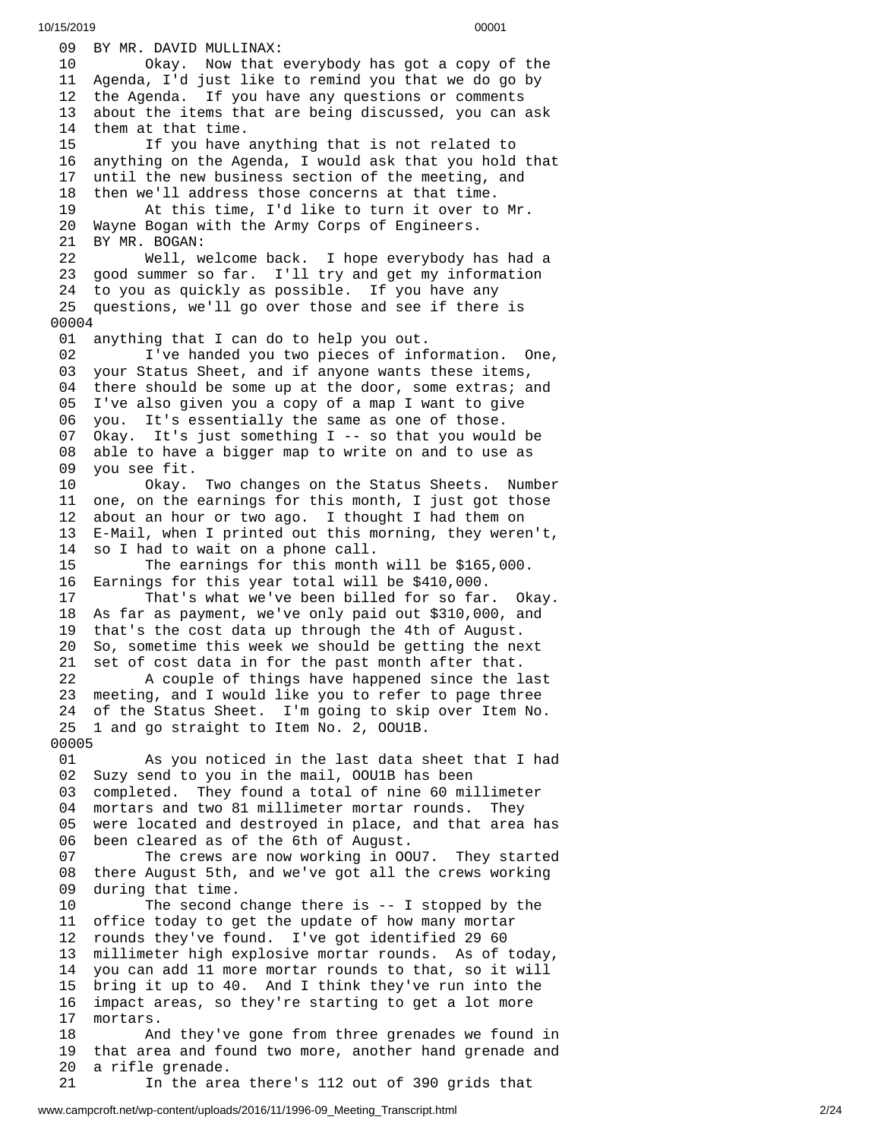09 BY MR. DAVID MULLINAX: Okay. Now that e v e r y b o d y h a s g o t a c o p y o f t h e 11 Agenda, I'd just like to remind you that we do go by 12 the Agenda. If you have any questions or comments 3 about the items that are being discussed, you can ask 4 them at that time. 15 If you have anything that is not related to 6 anything on the Agenda, I would ask that you hold that 7 until the new business section of the meeting, and 8 then we'll address those concerns at that time. At this time, I'd like to turn it over to M r. Wayne Bogan with the Army Corps of Engineers. BY MR. BOGAN: Well, welcome back. I hope everybody has had a 23 good summer so far. I'll try and get my information 24 to you as quickly as possible. If you have any 25 questions, we'll go over those and see if there is 0 0 0 4 01 anything that I can do to help you out. 02 I've handed you two pieces of information. One, 3 your Status Sheet, and if anyone wants these items, 04 there should be some up at the door, some extras; and 5 I've also given you a copy of a map I want to give 06 you. It's essentially the same as one of those. Okay. It's just something I -- so that you woul d b e 8 able to have a bigger map to write on and to use as 9 you see fit. Okay. T w o c h a n g e s o n t h e S t a t u s S h e e t s. N u m b e r 11 one, on the earnings for this month, I just got those 2 about an hour or two ago. I thought I had them on 13 E-Mail, when I printed out this morning, they weren't, 14 so I had to wait on a phone call. The earnings for this month w i l l b e \$ 1 6 5 , 0 0 0. Earnings for this year total will be \$410,000. That's what we've been billed for so far. Ok a y. As far as payment, we've only paid out \$310,000, and that's the cost data up through the 4th of August. So, sometime this week we should be getting the next set of cost data in for the past month after that. A couple of things have happened since the last meeting, and I would like you to refer to page three of the Status Sheet. I'm going to skip over Item No. 1 and go straight to Item No. 2, OOU1B. As you noticed in the last data sheet that I had Suzy send to you in the mail, OOU1B has been completed. They found a total of nine 60 millimeter mortars and two 81 millimeter mortar rounds. They were located and destroyed in place, and that area has been cleared as of the 6th of August. The crews are now working in OOU7. They started there August 5th, and we've got all the crews working during that time. The second change there is -- I stopped by the office today to get the update of how many mortar rounds they've found. I've got identified 29 60 millimeter high explosive mortar rounds. As of today, you can add 11 more mortar rounds to that, so it will bring it up to 40. And I think they've run into the impact areas, so they're starting to get a lot more mortars. And they've gone from three grenades we found in that area and found two more, another hand grenade and a rifle grenade. In the area there's 112 out of 390 grids that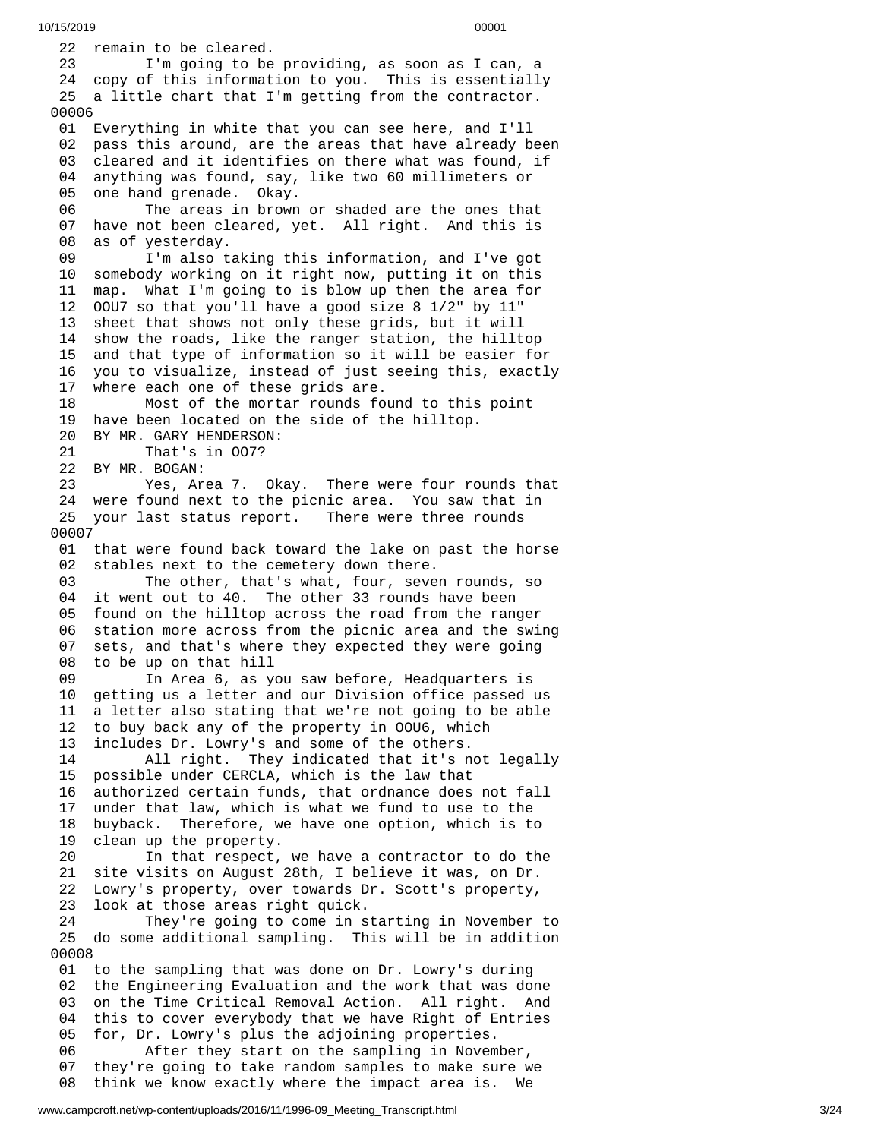22 remain to be cleared. 23 I'm going to be providing, as soon as I can, a 24 copy of this information to you. This is essentially 25 a little chart that I'm getting from the contractor. 00006 01 Everything in white that you can see here, and I'll 02 pass this around, are the areas that have already be e n 03 cleared and it identifies on there what was found, if 04 anything was found, say, like two 60 millimeters or 05 one hand grenade. Okay. 06 The areas in brown or shaded are the ones that 0 7 have not been cleared, yet. All right. And this is 0 8 as of yesterday. 09 I'm also taking this information, and I've got 10 somebody working on it right now, putting it on this 11 map. What I'm going to is blow up then the area for 1 2 00U7 so that you'll have a good size 8 1/2" by 11" 13 sheet that shows not only these grids, but it will 14 show the roads, like the ranger station, the hilltop 1 5 and that type of information so it will be easier for 1 6 you to visualize, instead of just seeing this, exactly 1 7 where each one of these grids are. 18 Most of the mortar rounds found to this point 19 have been located on the side of the hilltop. 20 BY MR. GARY HENDERSON: 21 That's in OO7? 22 BY MR. BOGAN: 23 Yes, Area 7. Okay. There were four rounds that 24 were found next to the picnic area. You saw that in 25 your last status report. Th here were three rounds 0 0 0 0 7 01 that were found back toward the lake on past the horse 02 stables next to the cemetery down there. 03 The other, that's what, four, seven rounds, so 04 it went out to 40. The other 33 rounds have been 05 found on the hilltop across the road from the ranger 0 6 station more across from the picnic area and the swing 0 7 sets, and that's where they expected they were going 0 8 to be up on that hill 0 9 In Area 6, as you saw before, Headquarters is 1 0 getting us a letter and our Division office passed us 1 1 a letter also stating that we're not going to be able 12 to buy back any of the property in OOU6, which 1 3 includes Dr. Lowry's and some of the others. 14 All right. They indicated that it's n o t l e g a l l y 15 possible under CERCLA, which is the law that 16 authorized certain funds, that ordnance does not fall 17 under that law, which is what we fund to use to the 18 buyback. Therefore, we have one option, which is to 1 9 clean up the property. 20 In that respect, we have a contractor to do the 21 site visits on August 28th, I believe it was, on Dr. 22 Lowry's property, over towards Dr. Scott's property, 23 look at those areas right quick. 24 They're going to come in starting in November t o 25 do some additional sampling. This will be in addition 0 0 0 0 8 01 to the sampling that was done on Dr. Lowry's during 0 2 the Engineering Evaluation and the work that was done 0 3 on the Time Critical Removal Action. All right. And 0 4 this to cover everybody that we have Right of Entries 05 for, Dr. Lowry's plus the adjoining properties. 06 After they start on the sampling in November, 0 7 they're going to take random samples to make sure we 0 8 think we know exactly where the impact area is. We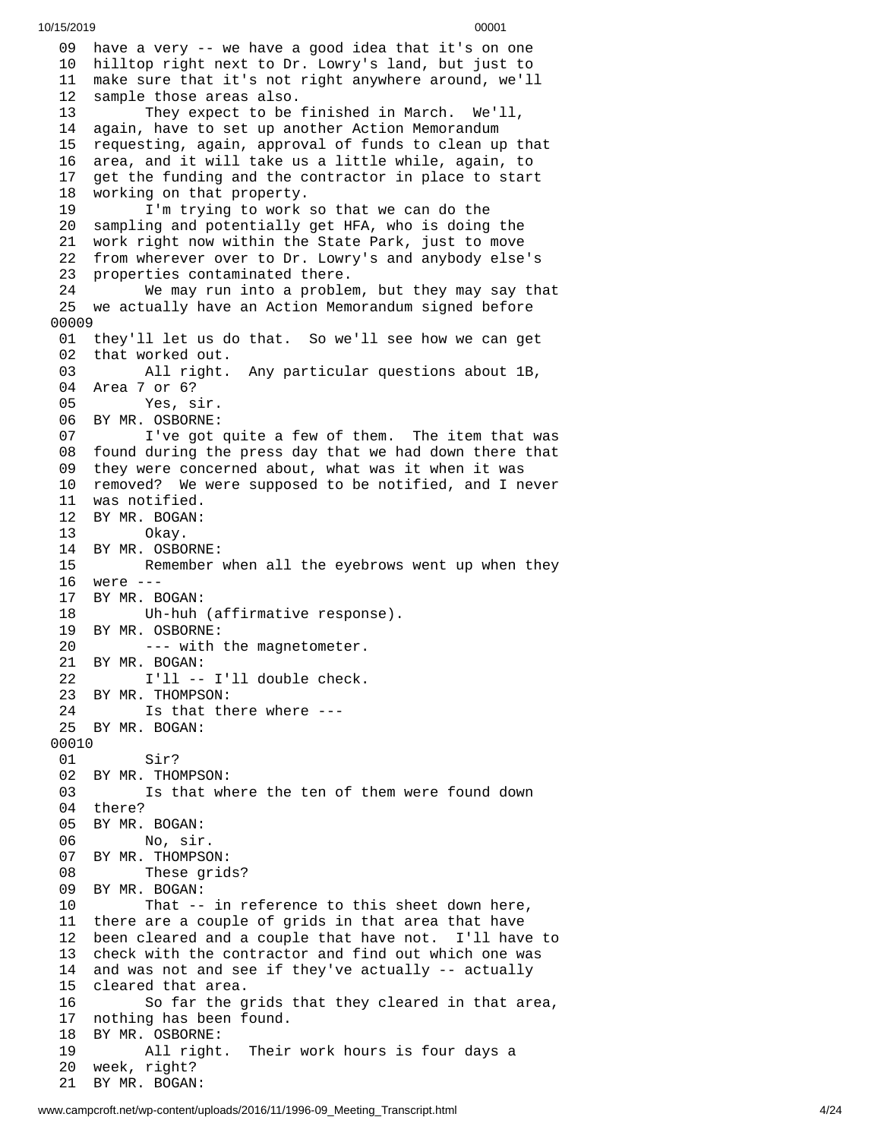09 have a very -- we have a good idea that it's on one 10 hilltop right next to Dr. Lowry's land, but just to 1 1 make sure that it's not right anywhere around, we'll 1 2 sample those areas also. 13 They expect to be finished in March. We'll, 1 4 again, have to set up another Action Memorandum 1 5 requesting, again, approval of funds to clean up that 1 6 area, and it will take us a little while, again, to 1 7 get the funding and the contractor in place to start 1 8 working on that property. 19 I'm trying to work so that we can do the 20 sampling and potentially get HFA, who is doing the 21 work right now within the State Park, just to move 22 from wherever over to Dr. Lowry's and anybody else's 23 properties contaminated there. 24 We may run into a proble m , b u t t h e y m a y s a y t h a t 25 we actually have an Action Memorandum signed before 0 0 0 0 9 01 they'll let us do that. So we'll see how we can get 02 that worked out. 03 All right. A n y p a r t i c u l a r q u e s t i o n s a b o u t 1 B , 04 Area 7 or 6? 0 5 Yes, sir. 06 BY MR. OSBORNE: 07 I've got quite a few of them. The item that was 08 found during the press day that we had down there that 09 they were concerned about, what was it when it was 10 removed? We were supposed to be notified, and I never 11 was notified. 12 BY MR. BOGAN: 13 Okay. 14 BY MR. OSBORN E: 15 Remember w h e n a l l t h e e y e b r o w s w e n t u p w h e n t h e y 16 were ---17 BY MR. BOGAN: 18 Uh-huh (affirmative response). 19 BY MR. OSBORNE: 20 --- with the magnetometer. 21 BY MR. BOGAN: 22 I'll -- I'll double check. 23 BY MR. THOMPSON: 24 Is that there where --- 25 BY MR. BOGAN: 00010 01 Sir? 02 BY MR. THOMPSON: 03 Is that where the ten of them were found down 04 there? 05 BY MR. BOGAN: 06 No, sir. 07 BY MR. THOMPSO N: 08 These grid s ? 09 BY MR. BOGAN: 10 That -- in reference to this sheet down here, 11 there are a couple of grids in that area that have 12 been cleared and a couple that have not. I'll have to 13 check with the contractor and find out which one was 14 and was not and see if they've actually -- actually 15 cleared that area. 16 So far the grids that they cleared in that area, 17 nothing has been found. 18 BY MR. OSBORNE: 19 All right. Their work hours is four days a 20 week, right? 21 BY MR. BOGAN: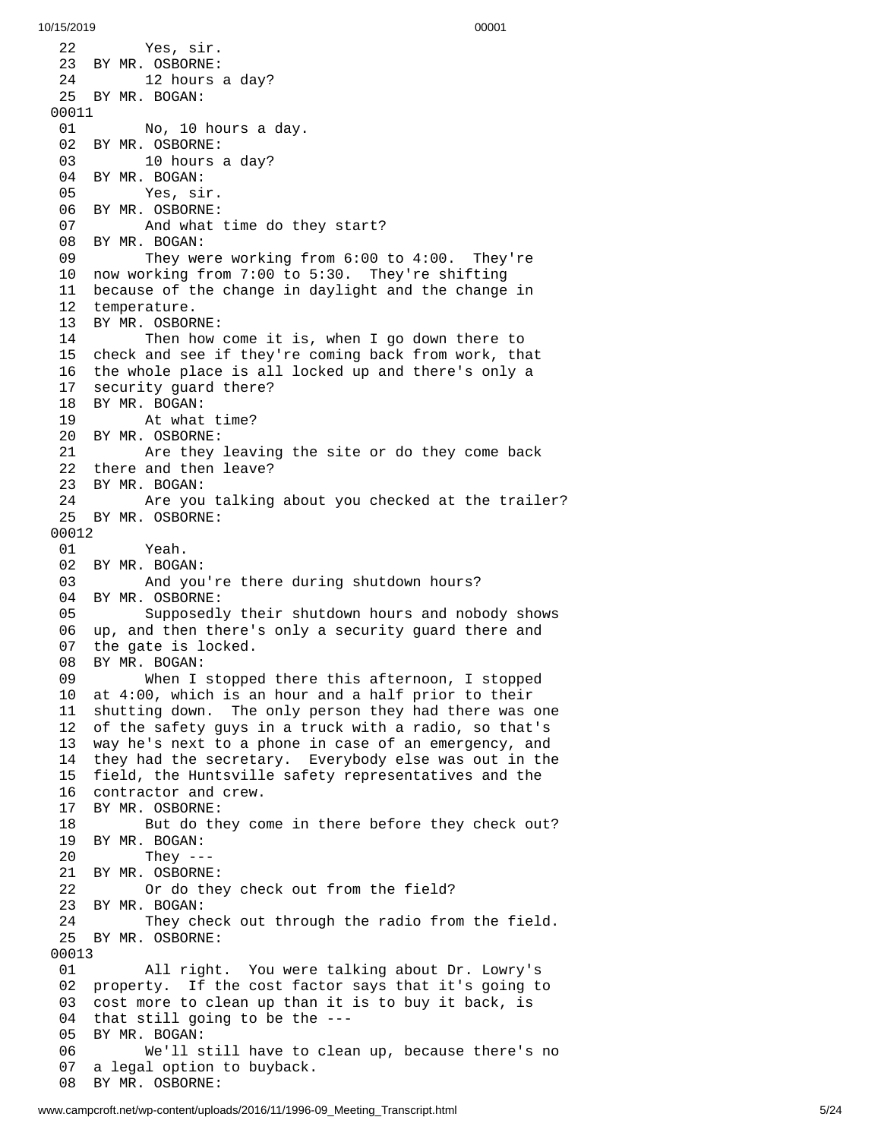2 2 Yes, sir. 23 BY MR. OSBORNE: 24 12 hours a d a y ? 25 BY MR. BOGAN: 00011 01 No, 10 h o u r s a d a y. 02 BY MR. OSBORNE: 03 10 hours a day? 04 BY MR. BOGAN: 05 Yes, sir. 06 BY MR. OSBORNE: 07 And what time do th e y s t a r t ? 08 BY MR. BOGAN: 09 They were working from 6:00 to 4:00. They're 10 now working from 7:00 to 5:30. They're shifting 11 because of the change in daylight and the change in 12 temperature. 13 BY MR. OSBOR N E: 14 Then how come it is, when I go down there to 15 check and see if they're coming back from work, that 16 the whole place is all locked up and there's only a 1 7 security guard there? 18 BY MR. BOGAN: 19 At what t i m e ? 20 BY MR. OSBORNE: 21 Are they l e a v i n g t h e s i t e o r d o t h e y c o m e b a c k 22 there and then leave? 23 BY MR. BOGAN: 24 Are you t a l k i n g a b o u t y o u c h e c k e d a t t h e t r a i l e r ? 25 BY MR. OSBORNE: 00012 01 Yeah. 02 BY MR. BOGAN: 03 And you're there during shutdown hours? 04 BY MR. OSBORNE: 05 Supposedly their shutdown hours and nobody shows 06 up, and then there's only a security guard there and 07 the gate is locked. 08 BY MR. BOGAN: 09 When I stoppe d t h e r e t h i s a f t e r n o o n , I s t o p p e d 10 at 4:00, which is an hour and a half prior to their 11 shutting down. The only person they had there was one 1 2 of the safety guys in a truck with a radio, so that's 13 way he's next to a phone in case of an emergency, and 14 they had the secretary. Everybody else was out in the 15 field, the Huntsville safety representatives and the 16 contractor and crew. 17 BY MR. OSBORNE: 18 But do they come in there before they check out? 19 BY MR. BOGAN: 20 They -- - 21 BY MR. OSBORNE: 22 Or do the y c h e c k o u t f r o m t h e f i e l d ? 23 BY MR. BOGAN: 24 They check out through the radio from the field. 25 BY MR. OSBORNE: 00013 01 All right. You were talking about Dr. Lowry's 02 property. If the cost factor says that it's going to 03 cost more to clean up than it is to buy it back, is 04 that still going to be the --- 05 BY MR. BOGAN: 06 We'll still have to clean up, because there's no 07 a legal option to buyback. 08 BY MR. OSBORNE: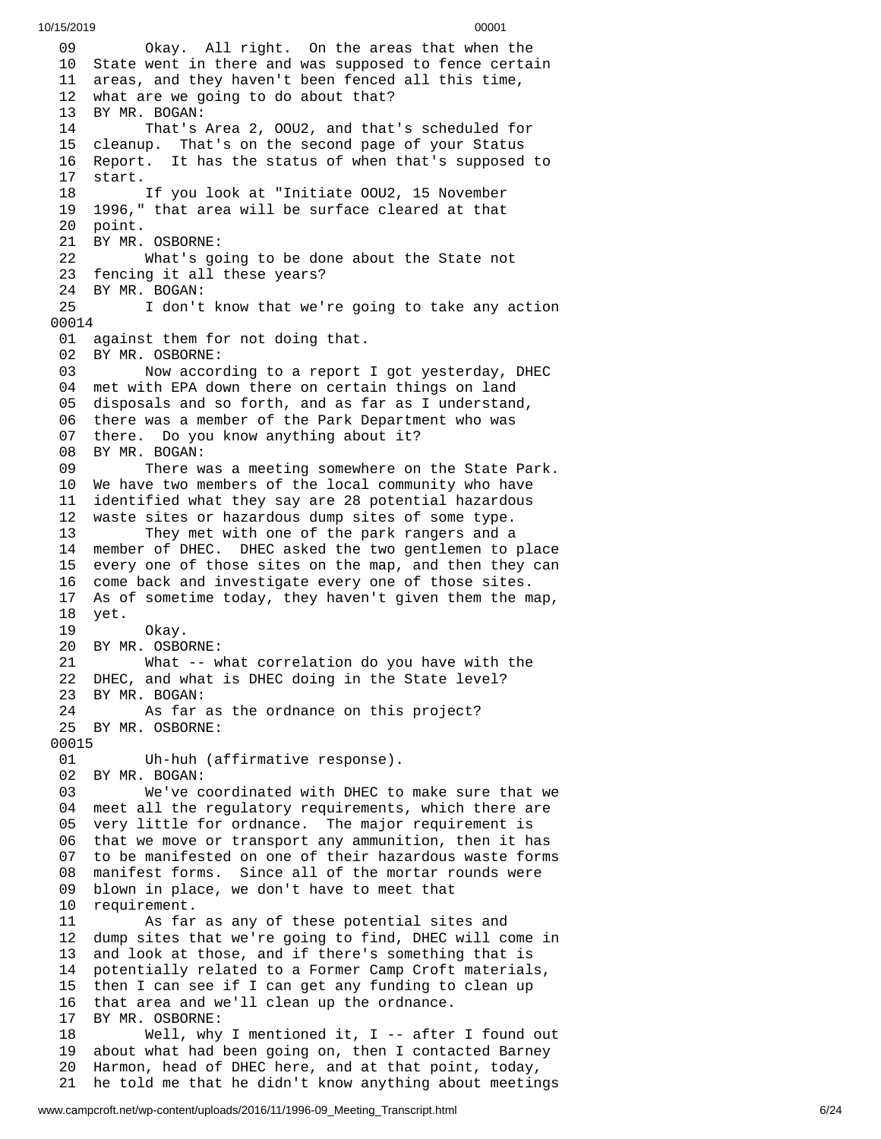0 9 Okay. All right. On the areas that when the 10 State went in there and was supposed to fence certain 11 areas, and they haven't been fenced all this time, 12 what are we going to do about that? 13 BY MR. BOGAN: 14 That's Area 2, 00U2, and that's scheduled for 15 cleanup. That's on the second page of your Status 16 Report. It has the status of when that's supposed to 1 7 start. 18 If you look at "Initiate OOU2, 15 November 19 1996," that area will be surface cleared at that 20 point. 21 BY MR. OSBORNE: 22 What's go i n g t o b e d o n e a b o u t t h e S t a t e n o t 23 fencing it all these years? 24 BY MR. BOGAN: 25 I don't know that we're going to take any action 0 0 0 1 4 01 against them for not doing that. 02 BY MR. OSBORNE: 03 Now according to a report I got yesterday, DHEC 04 met with EPA down there on certain things on land 05 disposals and so forth, and as far as I understand, 06 there was a member of the Park Department who was 07 there. Do you know anything about it? 08 BY MR. BOGAN: 09 There was a meeting somewhere on the State Park. 10 We have two members of the local community who have 11 identified what they say are 28 potential hazardous 12 waste sites or hazardous dump sites of some type. They met with one of the park rangers and a 14 member of DHEC. DHEC asked the two gentlemen to place 15 every one of those sites on the map, and then they can 16 come back and investigate every one of those sites. 17 As of sometime today, they haven't given them the map, 18 yet. 19 Okay. 20 BY MR. OSBORNE: What -- what correlation do you have with the 22 DHEC, and what is DHEC doing in the State level? 23 BY MR. BOGAN:<br>24 As far As far as the ordnance on this project? 25 BY MR. OSBORNE: 00015<br>01 Uh-huh (affirmative response). 02 BY MR. BOGAN: 03 We've coordinated with DHEC to make sure that we 04 meet all the regulatory requirements, which there are 05 very little for ordnance. The major requirement is 06 that we move or transport any ammunition, then it has 07 to be manifested on one of their hazardous waste forms<br>08 manifest forms. Since all of the mortar rounds were manifest forms. Since all of the mortar rounds were 09 blown in place, we don't have to meet that 10 requirement. 11 As far as any of these potential sites and 12 dump sites that we're going to find, DHEC will come in<br>13 and look at those, and if there's something that is and look at those, and if there's something that is 14 potentially related to a Former Camp Croft materials, 15 then I can see if I can get any funding to clean up 16 that area and we'll clean up the ordnance. 17 BY MR. OSBORNE: 18 Well, why I mentioned it, I -- after I found out 19 about what had been going on, then I contacted Barney 20 Harmon, head of DHEC here, and at that point, today, 21 he told me that he didn't know anything about meetings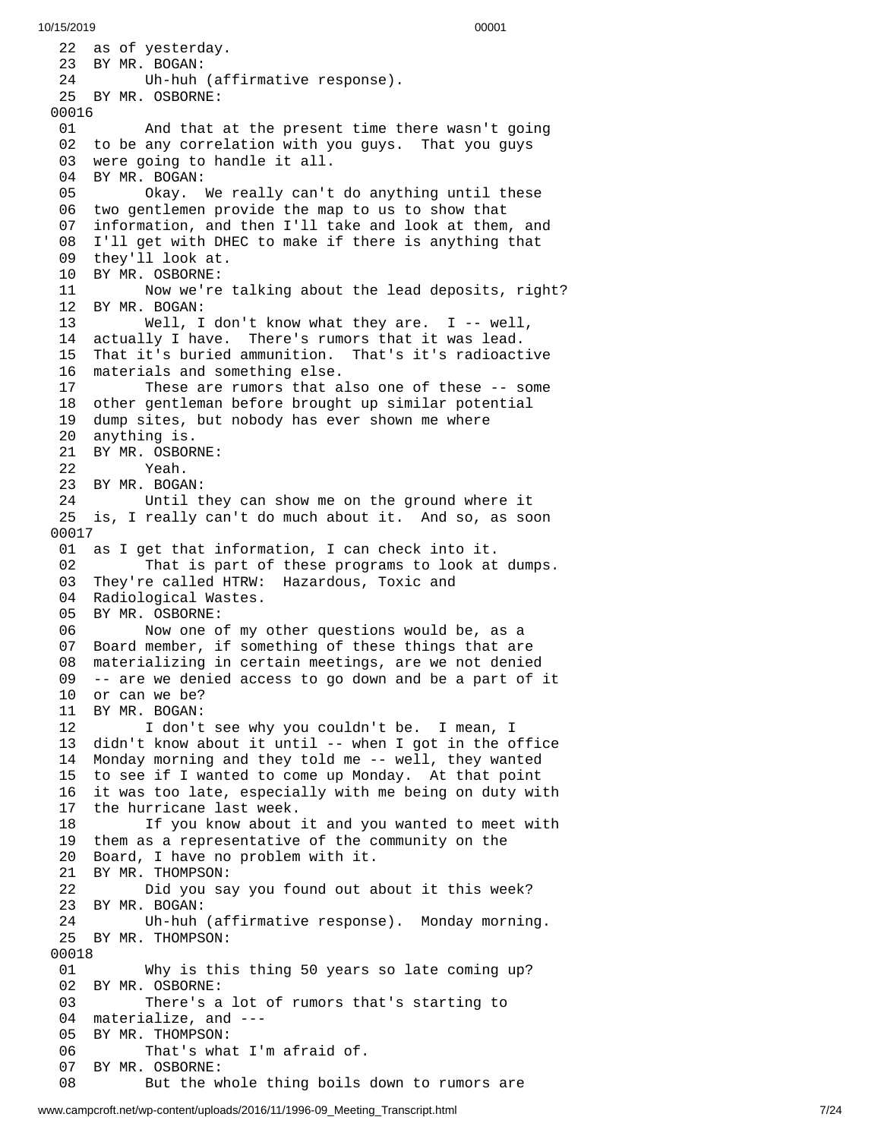22 as of yesterday. BY MR. BOGAN: 24 Uh-huh (affirmative response). BY MR. OSBORNE: 01 And that at the present time there wasn't going 02 to be any correlation with you guys. That you guys 03 were going to handle it all. BY MR. BOGAN: Okay. We really can't d o a n y t h i n g u n t i l t h e s e 06 two gentlemen provide the map to us to show that 7 information, and then I'll take and look at them, and 08 I'll get with DHEC to make if there is anything that 09 they'll look at. BY MR. OSBORNE: 11 Now we're talking about the lead deposits, right? 2 B Y M R. B O G A N: Well, I d o n't k n o w w h a t t h e y a r e. I - - w e l l , 4 actually I have. There's rumors that it was lead. That it's buried ammunition. That's it's radioact i v e 6 materials and something else. 17 These are rumors that also one of these -- some 18 other gentleman before brought up similar potential 19 dump sites, but nobody has ever shown me where 0 anything is. BY MR. OSBOR N E: Yeah. BY MR. BOGAN: 24 Until they can show me on the ground where it 25 is, I really can't do much about it. And so, as soon 0 0 1 7 01 as I get that information, I can check into it. 02 That is part of these programs to look at dumps. They're called HTRW: Hazardous, Toxic and Radiological Wastes. BY MR. OSBORNE: Now one of my other questions would be, as a Board member, if something of these things that are materializing in certain meetings, are we not denied -- are we denied access to go down and be a part of it or can we be? BY MR. BOGAN: I don't see why you couldn't be. I mean, I didn't know about it until -- when I got in the office Monday morning and they told me -- well, they wanted to see if I wanted to come up Monday. At that point it was too late, especially with me being on duty with the hurricane last week. If you know about it and you wanted to meet with them as a representative of the community on the Board, I have no problem with it. BY MR. THOMPSON: Did you say you found out about it this week? BY MR. BOGAN: Uh-huh (affirmative response). Monday morning. BY MR. THOMPSON: Why is this thing 50 years so late coming up? BY MR. OSBORNE: There's a lot of rumors that's starting to materialize, and --- BY MR. THOMPSON: That's what I'm afraid of. BY MR. OSBORNE: But the whole thing boils down to rumors are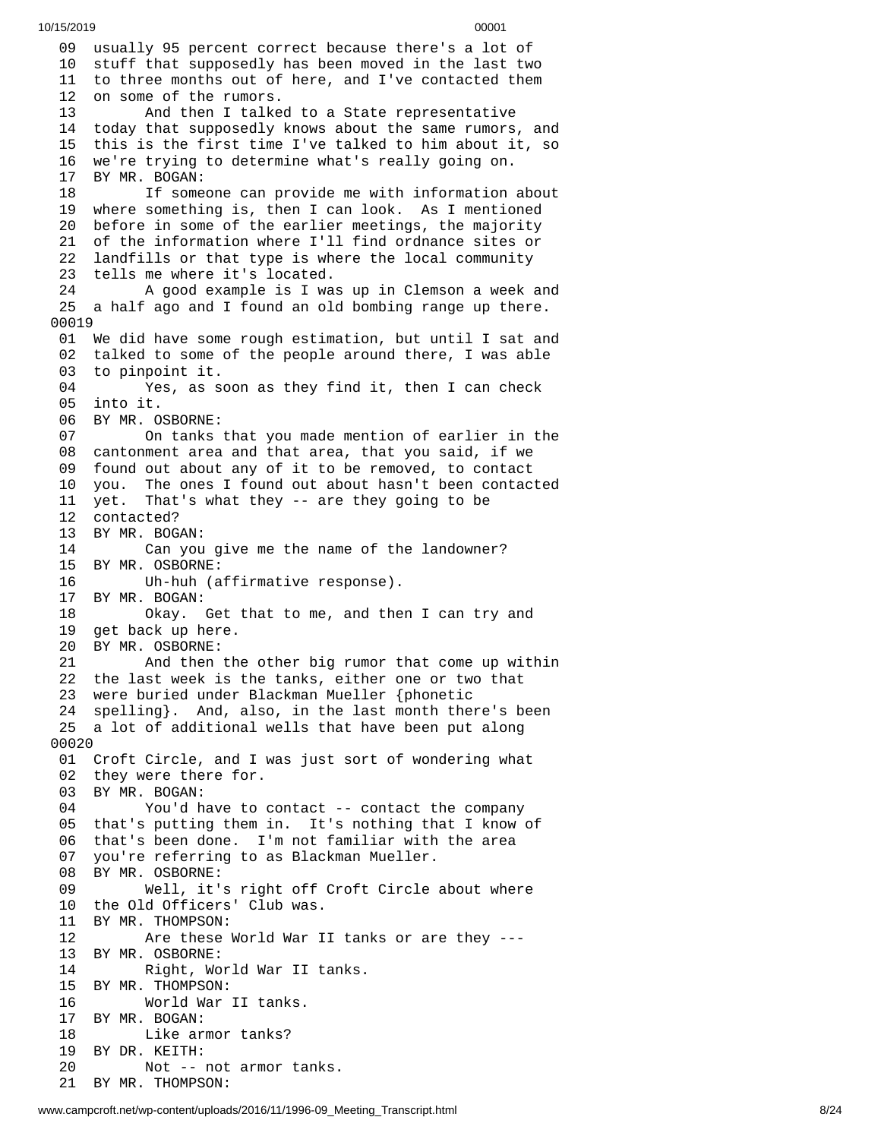09 usually 95 percent correct because there's a lot of 10 stuff that supposedly has been moved in the last two 11 to three months out of here, and I've contacted them 12 on some of the rumors. 13 And then I talke d t o a S t a t e r e p r e s e n t a t i v e 14 today that supposedly knows about the same rumors, and 1 5 this is the first time I've talked to him about it, so 16 we're trying to determine what's really going on. 17 BY MR. BOGAN: 18 If someone can provide me with information about 19 where something is, then I can look. As I mentioned 20 before in some of the earlier meetings, the majority 21 of the information where I'll find ordnance sites or 22 landfills or that type is where the local community 23 tells me where it's located. 24 A good example is I was up in Clemson a week and 25 a half ago and I found an old bombing range up there. 00019 01 We did have some rough estimation, but until I sat an d 02 talked to some of the people around there, I was able 03 to pinpoint it. 04 Yes, as soon as they find it, then I can check 05 into it. 06 BY MR. OSBORNE: 07 On tanks t h a t y o u m a d e m e n t i o n o f e a r l i e r i n t h e 08 cantonment area and that area, that you said, if we 09 found out about any of it to be removed, to contact 10 you. The ones I found out about hasn't been contacted 11 yet. That's what they -- are they going to be 12 contacted? 13 BY MR. BOGAN: 14 Can you give me the name of the landowner? 1 5 B Y M R. O S B O R N E: 16 Uh-huh (affirmative response). 17 BY MR. BOGAN: 18 Okay. Get that to me, and the n I c a n t r y a n d 19 get back up here. 20 BY MR. OSBORNE: 21 And then th e o t h e r b i g r u m o r t h a t c o m e u p w i t h i n 22 the last week is the tanks, either one or two that 23 were buried under Blackman Mueller {phonetic 24 spelling}. And, also, in the last month there's been 25 a lot of additional wells that have been put along 0 0 0 2 0 01 Croft Circle, and I was just sort of wondering what 02 they were there for. 03 BY MR. BOGAN: 04 You'd have to contact -- contact the company 05 that's putting them in. It's nothing that I know of 06 that's been done. I'm not familiar with the area 0 7 you're referring to as Blackman Mueller. 08 BY MR. OSBORNE: 09 Well, it's right off Croft Circle a b o u t w h e r e 1 0 t h e O l d O f f i c e r s' C l u b w a s. 11 BY MR. THOMPSON: 12 Are these World War I I t a n k s o r a r e t h e y - - - 13 BY MR. OSBORNE: 14 Right, Wo r l d W a r I I t a n k s. 15 BY MR. THOMPSON: 16 World War II tanks. 17 BY MR. BOGAN: 18 Like armor tanks? 19 BY DR. KEITH: 20 Not -- not armor tanks. 21 BY MR. THOMPSON: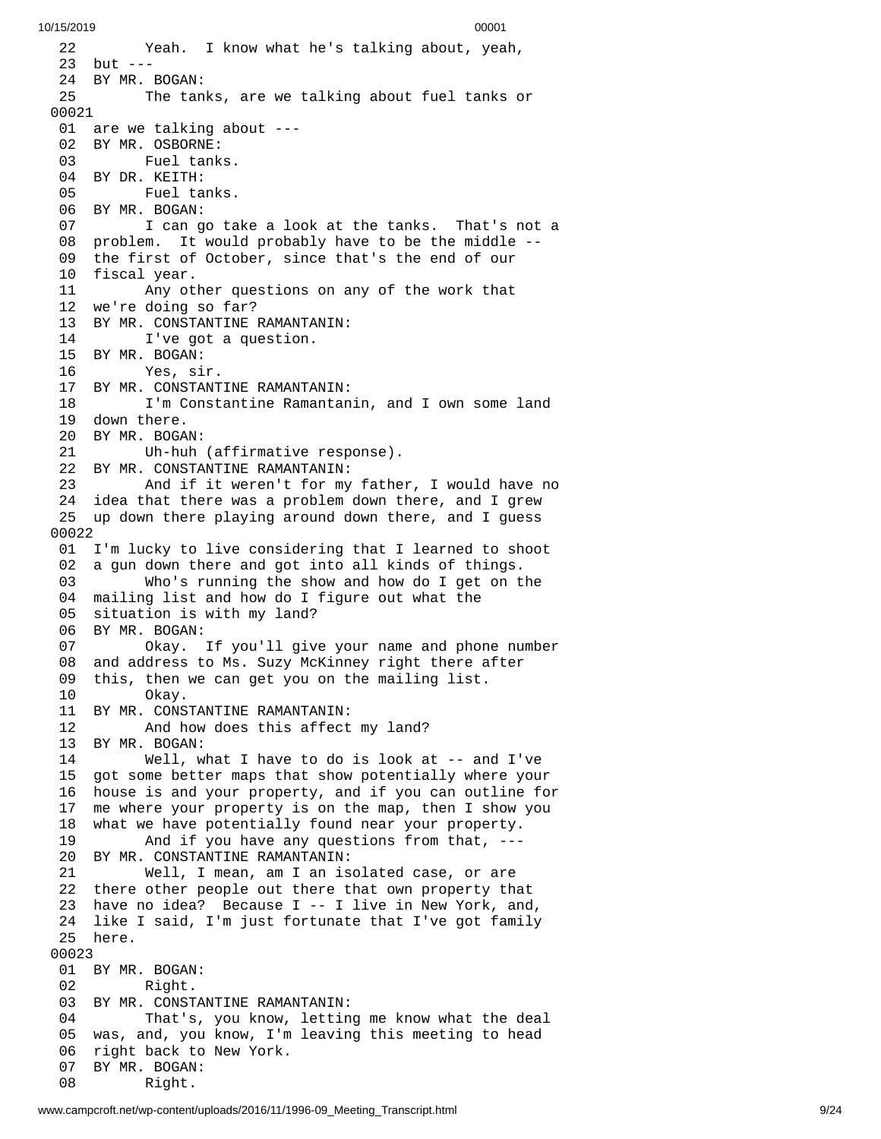2 2 Yeah. I know what he's talking about, yeah, 23 but ---24 BY MR. BOGAN: 25 The tanks, are we talking about fuel tanks or 0 0 0 2 1 01 are we talking about ---02 BY MR. OSBORNE: 03 Fuel tank s. 04 BY DR. KEITH: 05 Fuel tanks. 06 BY MR. BOGAN: 07 I can go take a look at the tanks. That's not a 08 problem. It would probably have to be the middle --09 the first of October, since that's the end of our 10 fiscal year. 11 Any ot h e r q u e s t i o n s o n a n y o f t h e w o r k t h a t 12 we're doing so far? 13 BY MR. CONSTANTINE RAMANTANIN: 14 I've got a question. 15 BY MR. BOGAN: 16 Yes, sir. 17 BY MR. CONSTANTINE RAMANTANIN: 18 I'm Constantine Ramantanin, and I own some land 19 down there. 20 BY MR. BOGA N: 21 Uh-huh (affirmative response). 22 BY MR. CONSTANTINE RAMANTANIN: 23 And if it weren't for my fathe r , I w o u l d h a v e n o 24 idea that there was a problem down there, and I grew 25 up down there playing around down there, and I guess 0 0 0 2 2 01 I'm lucky to live considering that I learned to shoot 02 a gun down there and got into all kinds of things. 03 Who's running the show and how do I get on t h e 04 mailing list and how do I figure out what the 05 situation is with my land? 0 6 BY MR. BOGAN: 07 Okay. I f y o u'l l g i v e y o u r n a m e a n d p h o n e n u m b e r 08 and address to Ms. Suzy McKinney right there after 09 this, then we can get you on the mailing list. 10 Okay. 11 BY MR. CONSTANTINE RAMANTANIN: 12 And how does this affect my land? 13 BY MR. BOGAN: 14 Well, what I have to do is look at -- an d I'v e 15 got some better maps that show potentially where your 16 house is and your property, and if you can outline for 1 7 me where your property is on the map, then I show you 1 8 what we have potentially found near your property. 19 And if you have any questions from that, --- 20 BY MR. CONSTANTINE RAMANTANIN: 21 Well, I mean, am I an isolated case, or are 22 there other people out there that own property tha t 23 have no idea? Because I -- I live in New York, and, 24 like I said, I'm just fortunate that I've got family 2 5 h e r e. 00023 01 BY MR. BOGAN: 02 Right. 03 BY MR. CONSTANTINE RAMANTANIN: 04 That's, you know, letting me know what the deal 05 was, and, you know, I'm leaving this meeting to head 06 right back to New York. 07 BY MR. BOGAN: 08 Right.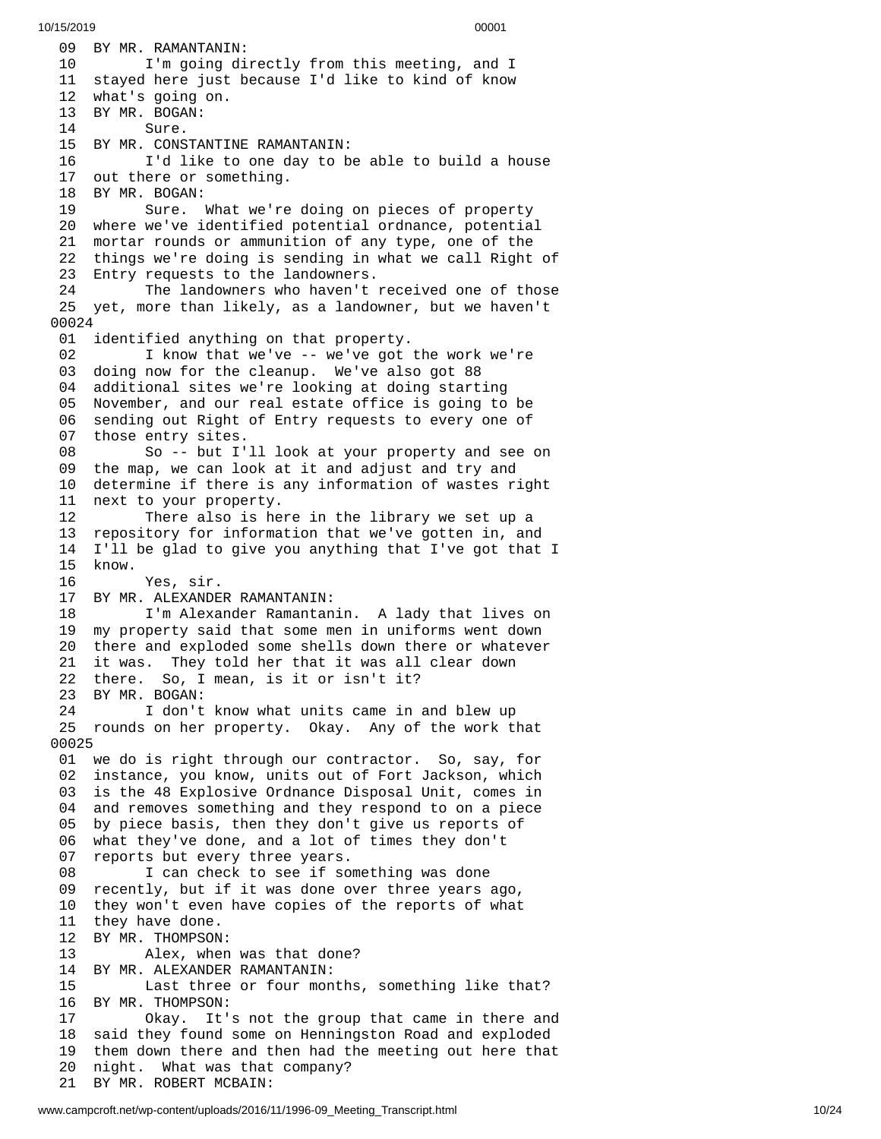09 BY MR. RAMANTANIN: 10 I'm going directly from this meeting, and I 11 stayed here just because I'd like to kind of know 12 what's going on. 13 BY MR. BOGAN: 14 Sure. 15 BY MR. CONSTANTINE RAMANTANIN: 16 I'd like to one day to be able to build a house 17 out there or something. 18 BY MR. BOGAN: 19 Sure. What we're doing on pieces of property 20 where we've identified potential ordnance, potential 21 mortar rounds or ammunition of any type, one of the 22 things we're doing is sending in what we call Right of 23 Entry requests to the landowners. 24 The landowners who haven't received one of those 25 yet, more than likely, as a landowner, but we haven't 0 0 0 2 4 01 identified anything on that property. 02 I know that we've -- we've got the work we're 0 3 doing now for the cleanup. We've also got 88 0 4 additional sites we're looking at doing starting 0 5 November, and our real estate office is going to be 0 6 sending out Right of Entry requests to every one of 0 7 those entry sites. 08 So -- but I'll look at your property and see on 09 the map, we can look at it and adjust and try and 10 determine if there is any information of wastes right 11 next to your property. 12 There also is here in the library we set up a 13 repository for information that we've gotten in, and 14 I'll be glad to give you anything that I've got that I 1 5 k n o w. 16 Yes, sir. 17 BY MR. ALEXANDER RAMANTANIN: 18 I'm Alexander Ramantanin. A lady that lives on 1 9 my property said that some men in uniforms went down 20 there and exploded some shells down there or whatever 21 it was. They told her that it was all clear down 22 there. So, I mean, is it or isn't it? 23 BY MR. BOGAN: 24 I don't know what units came in and blew up 25 rounds on her property. Okay. Any of the work that 0 0 0 2 5 01 we do is right through our contractor. So, say, for 02 instance, you know, units out of Fort Jackson, which 03 is the 48 Explosive Ordnance Disposal Unit, comes in 04 and removes something and they respond to on a piece 05 by piece basis, then they don't give us reports of 06 what they've done, and a lot of times they don't 0 7 reports but every three years. 08 I can check to see if something was done 0 9 recently, but if it was done over three years ago, 1 0 they won't even have copies of the reports of what 11 they have done. 12 BY MR. THOMPSON: 13 Alex, when w a s t h a t d o n e ? 14 BY MR. ALEXANDER RAMANTANIN: 15 Last three or four months, something like that? 16 BY MR. THOMPSON: 17 Okay. It's n o t t h e g r o u p t h a t c a m e i n t h e r e a n d 18 said they found some on Henningston Road and exploded 19 them down there and then had the meeting out here that 2 0 night. What was that company? 21 BY MR. ROBERT MCBAIN: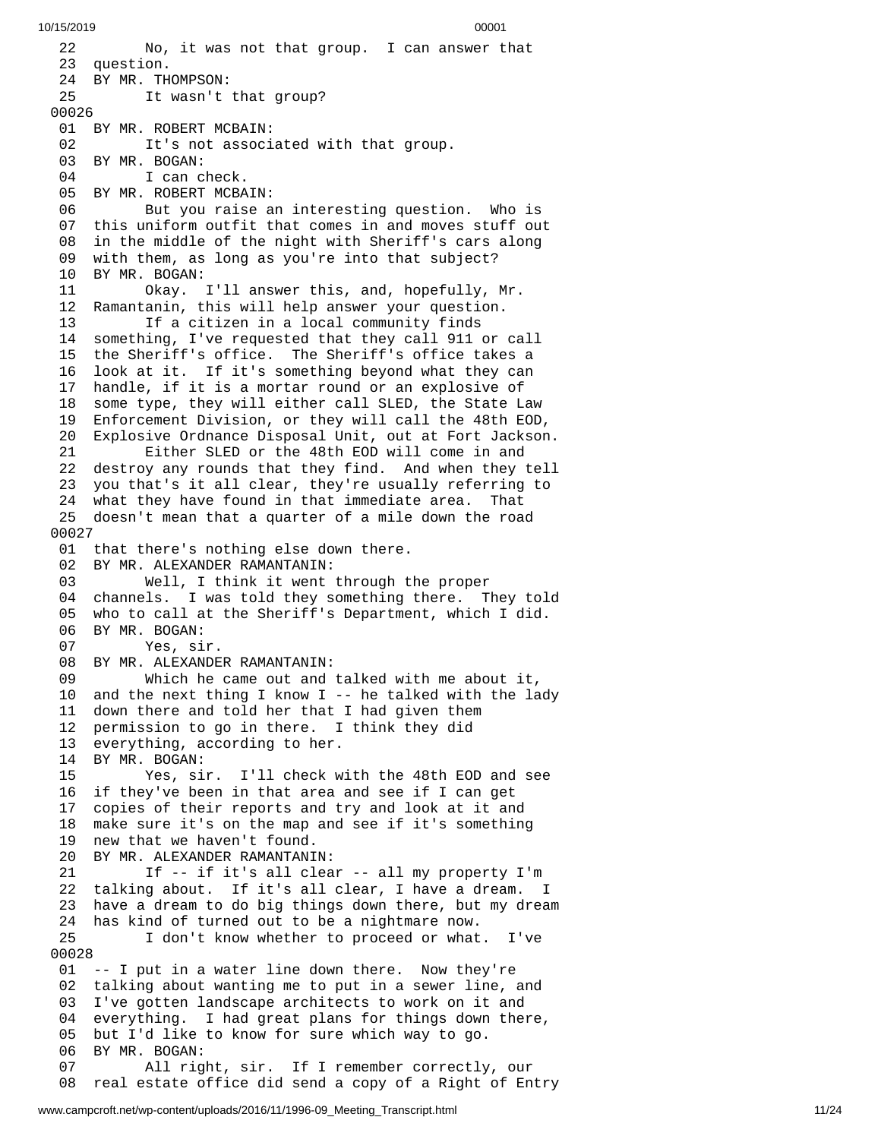2 2 No, it was not that group. I can answer that 23 question. 24 BY MR. THOMPSON: 25 It wasn't that group? 0 0 0 2 6 01 BY MR. ROBERT MCBAIN: 02 It's not associated with that group. 03 BY MR. BOGAN: 04 I can check. 05 BY MR. ROBERT MCBAIN: 06 But you raise an interesting question. Who is 07 this uniform outfit that comes in and moves stuff out 08 in the middle of the night with Sheriff's cars along 09 with them, as long as you're into that subject? 10 BY MR. BOGAN: 11 Okay. I'l l a n s w e r t h i s , a n d , h o p e f u l l y , M r. 12 Ramantanin, this will help answer your question. 13 If a citizen in a local community finds 14 something, I've requested that they call 911 or ca l l 15 the Sheriff's office. The Sheriff's office takes a 1 6 look at it. If it's something beyond what they can 1 7 handle, if it is a mortar round or an explosive of 1 8 some type, they will either call SLED, the State Law 1 9 Enforcement Division, or they will call the 48th EOD, 2 0 Explosive Ordnance Disposal Unit, out at Fort Jackson. 21 Either SLED or the 48th EOD will come in and 22 destroy any rounds that they find. And when they tell 23 you that's it all clear, they're usually referring to 24 what they have found in that immediate area. That 25 doesn't mean that a quarter of a mile down the road 0 0 0 2 7 01 that there's nothing else down there. 02 BY MR. ALEXANDER RAMANTANIN: 03 Well, I think it went through t h e p r o p e r 04 channels. I was told they something there. They told 0 5 who to call at the Sheriff's Department, which I did. 06 BY MR. BOGAN: 07 Yes, sir. 08 BY MR. ALEXANDER RAMANTANIN: 09 Which he came out and talked with me about it, 10 and the next thing I know I -- he talked with the lad y 11 down there and told her that I had given them 12 permission to go in there. I think they did 13 everything, according to her. 14 BY MR. BOGAN:<br>15 Yes, si 15 Yes, sir. I'll check w i t h t h e 4 8 t h E O D a n d s e e 16 if they've been in that area and see if I can get 17 copies of their reports and try and look at it and 18 make sure it's on the map and see if it's something 19 new that we haven't found. 20 BY MR. ALEXANDER RAMANTANI N: 21 If -- if it's all clear -- all my property I'm 22 talking about. If it's all clear, I have a dream. I 23 have a dream to do big things down there, but my dream 24 has kind of turned out to be a nightmare now. 25 I don't know whether to proceed or what. I'v e 0 0 0 2 8 0 1 -- I put in a water line down there. Now they're 02 talking about wanting me to put in a sewer line, and 03 I've gotten landscape architects to work on it and 04 everything. I had great plans for things down there, 05 but I'd like to know for sure which way to go. 06 BY MR. BOGAN: 07 All right, sir. If I remember correctly , o u r 08 real estate office did send a copy of a Right of Entry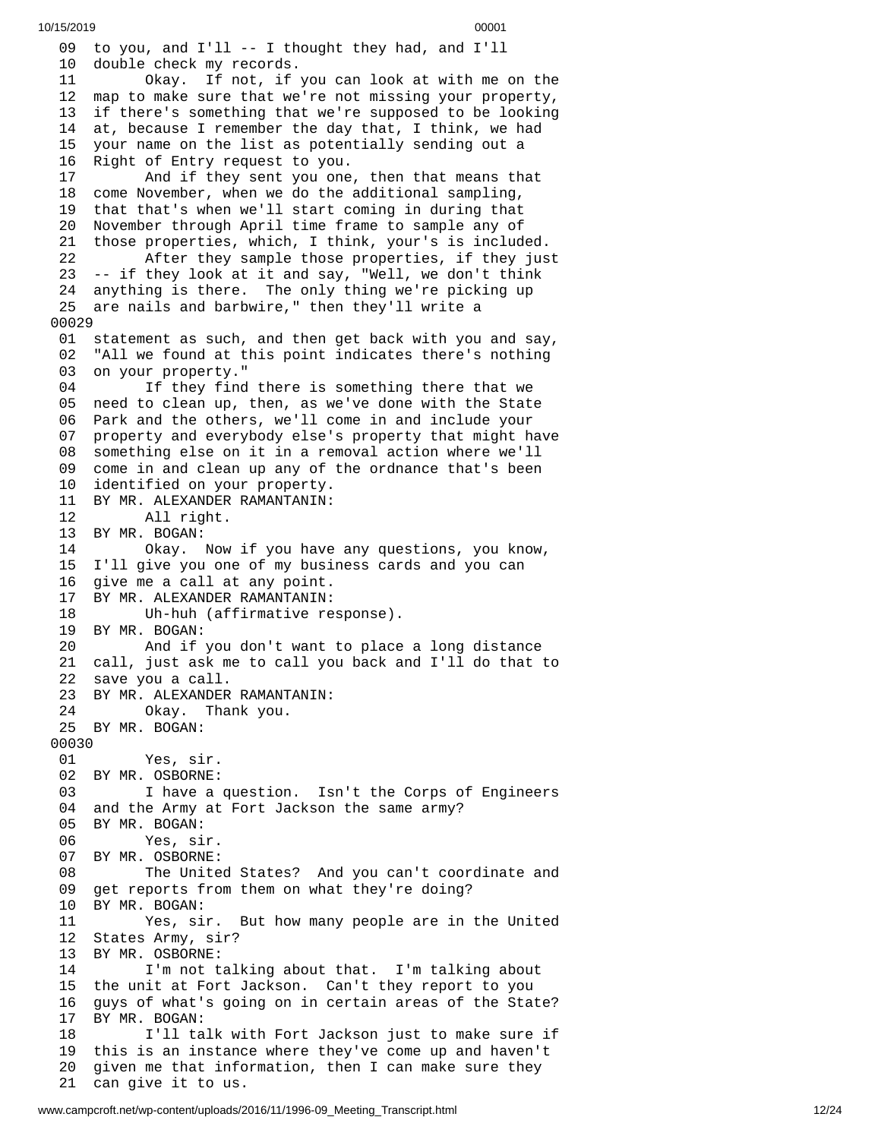0 9 to you, and  $I'll$  -- I thought they had, and  $I'll$ 1 0 d o u b l e c h e c k m y r e c o r d s. 11 Okay. If not, if y o u c a n l o o k a t w i t h m e o n t h e 1 2 map to make sure that we're not missing your property, 13 if there's something that we're supposed to be looking 1 4 at, because I remember the day that, I think, we had 1 5 your name on the list as potentially sending out a 16 Right of Entry request to you. 17 And if they sent you one , t h e n t h a t m e a n s t h a t 18 come November, when we do the additional sampling, 19 that that's when we'll start coming in during that 20 November through April time frame to sample any of 21 those properties, which, I think, your's is included. 22 After they sample those properties, if they jus t 23 -- if they look at it and say, "Well, we don't think 24 anything is there. The only thing we're picking up 25 are nails and barbwire," then they'll write a 0 0 0 2 9 01 statement as such, and then get back with you and say, 02 "All we found at this point indicates there's nothing 03 on your property." 0 4 If they find there is something there that we 05 need to clean up, then, as we've done with the State 06 Park and the others, we'll come in and include your 0 7 property and everybody else's property that might have 08 something else on it in a removal action where we'll 09 come in and clean up any of the ordnance that's been 10 identified on your property. 11 BY MR. ALEXANDER RAMANTANIN: 12 All right. 13 BY MR. BOGAN: 14 Okay. Now if you have a n y q u e s t i o n s , y o u k n o w , 15 I'll give you one of my business cards and you can 16 give me a call at any point. 17 BY MR. ALEXANDER RAMANTANIN: 18 Uh-huh (affirmative re s p o n s e ). 19 BY MR. BOGAN: 20 And if you don't want to place a l o n g d i s t a n c e 21 call, just ask me to call you back and I'll do that to 22 save you a call. 23 BY MR. ALEXANDER RAMANTANIN: 24 Okay. Thank you. 25 BY MR. BOGAN: 00030<br>01 Yes, sir. 02 BY MR. OSBORNE: 03 I have a question. Isn't the Corps of Engineers 04 and the Army at Fort Jackson the same army? 05 BY MR. BOGAN: 06 Yes, si r. 07 BY MR. OSBORNE: 08 The United States? And you can't coordinate and 09 get reports from them on what they're doing? 10 BY MR. BOGAN: 11 Yes, sir. But how many people are in the United 12 States Army, sir? 13 BY MR. OSBORNE: 14 I'm not talking about that. I'm talking about 15 the unit at Fort Jackson. Can't they report to you 1 6 guys of what's going on in certain areas of the State? 1 7 BY MR. BOGAN: 18 I'll talk with Fort Jackson just to make sure if 19 this is an instance where they've come up and haven't 2 0 given me that information, then I can make sure they 21 can give it to us.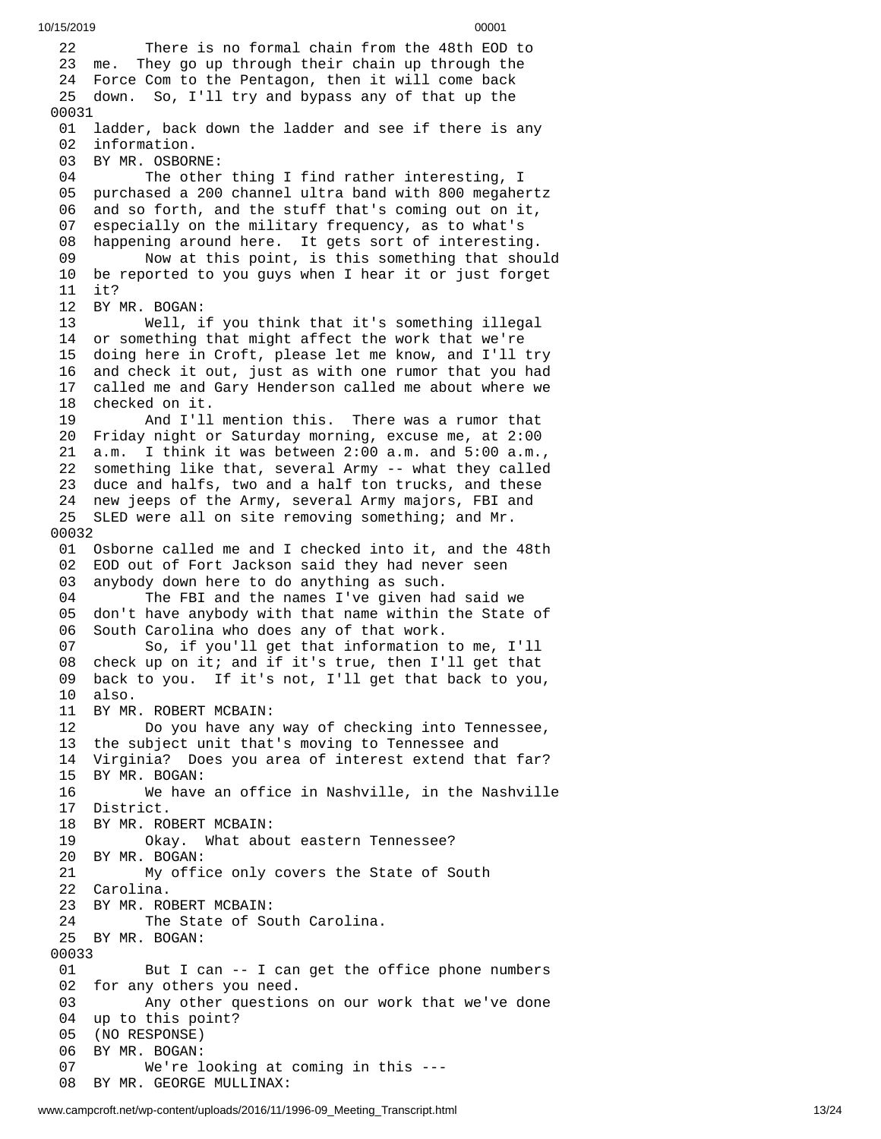2 2 There is no formal chain from the 48th EOD to 2 3 m e. T hey go up through their chain up through the 24 Force Com to the Pentagon, then it will come back 25 down. So, I'll try and bypass any of that up the 0 0 0 3 1 01 ladder, back down the ladder and see if there is any 02 information. 03 BY MR. OSBOR N E: 04 The other thing I find rather interesting, I 05 purchased a 200 channel ultra band with 800 megahertz 0 6 and so forth, and the stuff that's coming out on it, 0 7 especially on the military frequency, as to what's 0 8 happening around here. It gets sort of interesting. 09 Now at this point, is this something that shou l d 10 be reported to you guys when I hear it or just forget 11 it? 1 2 B Y M R. B O G A N: 13 Well, i f y o u t h i n k t h a t i t's s o m e t h i n g i l l e g a l 14 or something that might affect the work that we're 1 5 doing here in Croft, please let me know, and I'll try 1 6 and check it out, just as with one rumor that you had 1 7 called me and Gary Henderson called me about where we 18 checked on it. 19 And I'll m e n t i o n t h i s. T h e r e w a s a r u m o r t h a t 20 Friday night or Saturday morning, excuse me, at 2:00 2 1 a.m. I think it was between 2:00 a.m. and 5:00 a.m., 22 something like that, several Army -- what they called 23 duce and halfs, two and a half ton trucks, and these 24 new jeeps of the Army, several Army majors, FBI and 25 SLED were all on site removing something; and Mr. 00032 01 Osborne called me and I checked into it, and the 48th 02 EOD out of Fort Jackson said they had never seen 03 anybody down here to do anything as such. 04 The FBI and the names I've given had said we 05 don't have anybody with that name within the State of 0 6 South Carolina who does any of that work. 07 So, if you'll get that information to me, I'll 08 check up on it; and if it's true, then I'll get that 0 9 back to you. If it's not, I'll get that back to you, 1 0 a l s o. 11 BY MR. ROBERT MCBAIN: 12 Do you have any w a y o f c h e c k i n g i n t o T e n n e s s e e , 13 the subject unit that's moving to Tennessee and 14 Virginia? Does you area of interest extend that far? 1 5 B Y M R. B O G A N: 16 We have a n o f f i c e i n N a s h v i l l e , i n t h e N a s h v i l l e 17 District. 18 BY MR. ROBERT MCBAIN: 19 Okay. What abo u t e a s t e r n T e n n e s s e e ? 20 BY MR. BOGAN: 21 My office only covers the State of South 22 Carolina. 23 BY MR. ROBERT MCBAIN: 24 The State of South Carolina. 25 BY MR. BOGAN: 00033 01 But I can -- I can get the office phone numbers 02 for any others you need. 03 Any other question s o n o u r w o r k t h a t w e'v e d o n e 04 up to this point? 0 5 ( N O R E S P O N S E ) 06 BY MR. BOGAN: 07 We're l o o k i n g a t c o m i n g i n t h i s - - - 08 BY MR. GEORGE MULLINAX: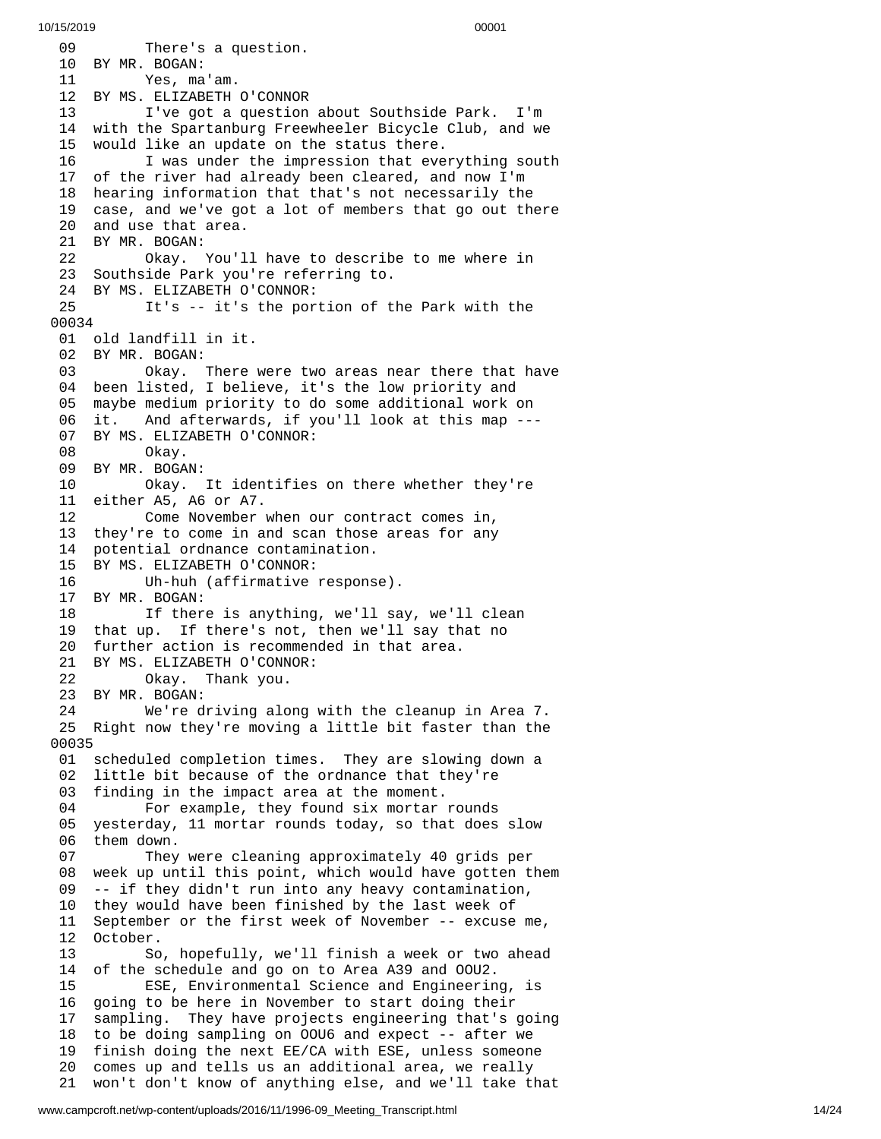0 9 There's a question. 10 BY MR. BOGAN: 11 Yes, ma'am. 12 BY MS. ELIZABETH O'CONNOR 13 I've got a question about Southside Park. I'm 14 with the Spartanburg Freewheeler Bicycle Club, and we 1 5 would like an update on the status there. 16 I was under the impression that everything south 17 of the river had already been cleared, and now I'm 18 hearing information that that's not necessarily the 19 case, and we've got a lot of members that go out there 20 and use that area. 21 BY MR. BOGAN: 22 Okay. You'l l h a v e t o d e s c r i b e t o m e w h e r e i n 23 Southside Park you're referring to. 24 BY MS. ELIZABETH O'CONNOR:<br>25 It's -- it's the por 25 It's -- it's the portion of the Park with the 0 0 0 3 4 01 old landfill in it. 02 BY MR. BOGAN: 03 Okay. were two areas near there that have 04 been listed, I believe, it's the low priority and 0 5 maybe medium priority to do some additional work on 0 6 i t. A nd afterwards, if you'll look at this map ---0 7 BY MS. ELIZABETH O'CONNOR: 08 Okay. 09 BY MR. BOGAN: 10 Okay. It identifies o n t h e r e w h e t h e r t h e y'r e 11 either A5, A6 or A7. 12 Come November when our contract comes in, 13 they're to come in and scan those areas for any 14 potential ordnance contamination. 15 BY MS. ELIZABETH O'CONNOR: 16 Uh-huh (affirmative respons e ). 17 BY MR. BOGAN: 18 If there is anything, we'll say, we'll clean 19 that up. If there's not, then we'll say that no 20 further action is recommended in that area. 21 BY MS. ELIZABETH O'CONNOR: 0kay. Thank you. 23 BY MR. BOGAN: 24 We're driving along with the cleanup i n A r e a 7. 25 Right now they're moving a little bit faster than the 0 0 0 3 5 01 scheduled completion times. They are slowing down a 02 little bit because of the ordnance that they're 03 finding in the impact area at the moment. 04 For example, they found six mortar rounds 05 yesterday, 11 mortar rounds today, so that does slow 06 them down. 07 They were cleaning approximately 40 grids per 0 8 week up until this point, which would have gotten them 0 9 -- if they didn't run into any heavy contamination, 10 they would have been finished by the last week of 1 1 September or the first week of November -- excuse me, 12 October. 13 So, hopefully, we'll finish a week or two ahead 14 of the schedule and go on to Area A39 and OOU2. 15 ESE, Environmental Science and Engineerin g , i s 1 6 going to be here in November to start doing their 1 7 sampling. They have projects engineering that's going 18 to be doing sampling on OOU6 and expect -- after we 19 finish doing the next EE/CA with ESE, unless someone 20 comes up and tells us an additional area, we really 21 won't don't know of anything else, and we'll take that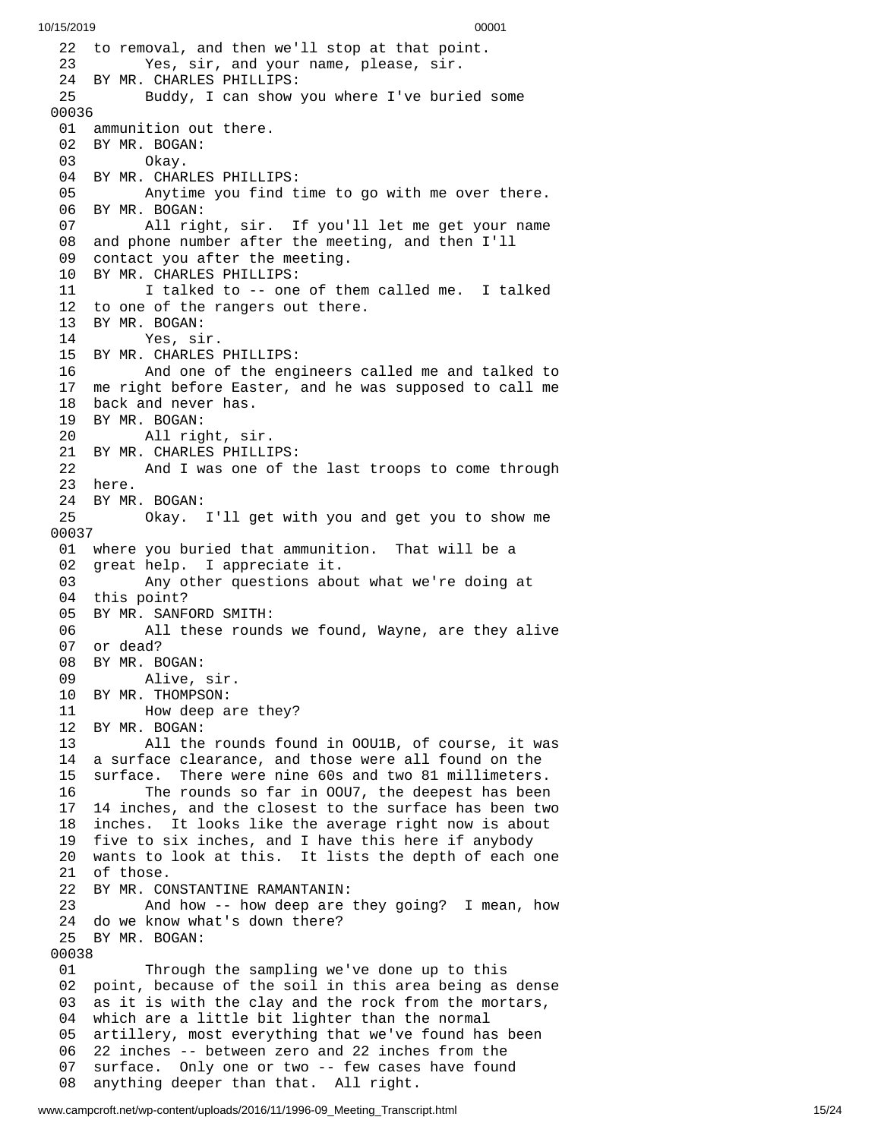22 to removal, and then we'll stop at that point. 23 Yes, sir, and your name, please, sir. 24 BY MR. CHARLES PHILLIPS: 25 Buddy, I can show you where I've buried s o m e 0 0 0 3 6 01 ammunition out there. 02 BY MR. BOGAN: 0kay. 04 BY MR. CHARLES PHILLI P S: 05 Anytime you find time to go with me over there. 06 BY MR. BOGAN: 07 All right, sir. If you'll let me get your name 08 and phone number after the meeting, and then I'll 09 contact you after the meeting. 10 BY MR. CHARLES PHILLIPS: 11 I talked to -- one of them called me. I talked 12 to one of the rangers out there. 13 BY MR. BOGAN:<br>14 Yes, si Yes, sir. 15 BY MR. CHARLES PHILLIPS: 16 And one of the engineers called me and talked t o 17 me right before Easter, and he was supposed to call me 18 back and never has. 19 BY MR. BOGAN: 20 All right, si r. 21 BY MR. CHARLES PHILLI P S: 22 And I was one of t h e l a s t t r o o p s t o c o m e t h r o u g h 2 3 h e r e. 24 BY MR. BOGAN: 25 Okay. I'l l g e t w i t h y o u a n d g e t y o u t o s h o w m e 0 0 0 3 7 01 where you buried that ammunition. That will be a 02 great help. I appreciate it. 03 Any other questions about what we're doing at 04 this point? 05 BY MR. SANFORD SMITH: 06 All these round s w e f o u n d , W a y n e , a r e t h e y a l i v e 07 or dead? 08 BY MR. BOGAN: 09 Alive, s i r. 10 BY MR. THOMPSON: 11 Mow deep are they? 1 2 B Y M R. B O G A N: 13 All the r o u n d s f o u n d i n O O U 1 B , o f c o u r s e , i t w a s 14 a surface clearance, and those were all found on the 15 surface. There were nine 60s and two 81 millimeters. 16 The rounds so far in OOU7, the deepest has been 17 14 inches, and the closest to the surface has been tw o 18 inches. It looks like the average right now is about 19 five to six inches, and I have this here if anybody 20 wants to look at this. It lists the depth of each one 2 1 o f t h o s e. 22 BY MR. CONSTANTINE RAMANTANIN: 23 And how -- how deep are t h e y g o i n g ? I m e a n , h o w 24 do we know what's down there? 25 BY MR. BOGAN: 00038 01 Through the sampling we've done up to this 0 2 point, because of the soil in this area being as dense 0 3 as it is with the clay and the rock from the mortars, 04 which are a little bit lighter than the normal 05 artillery, most everything that we've found has been 06 22 <code>inches -- between zero and 22 inches from the  $\overline{a}$ </sup></code> 0 7 surface. Only one or two -- few cases have found 0 8 anything deeper than that. All right.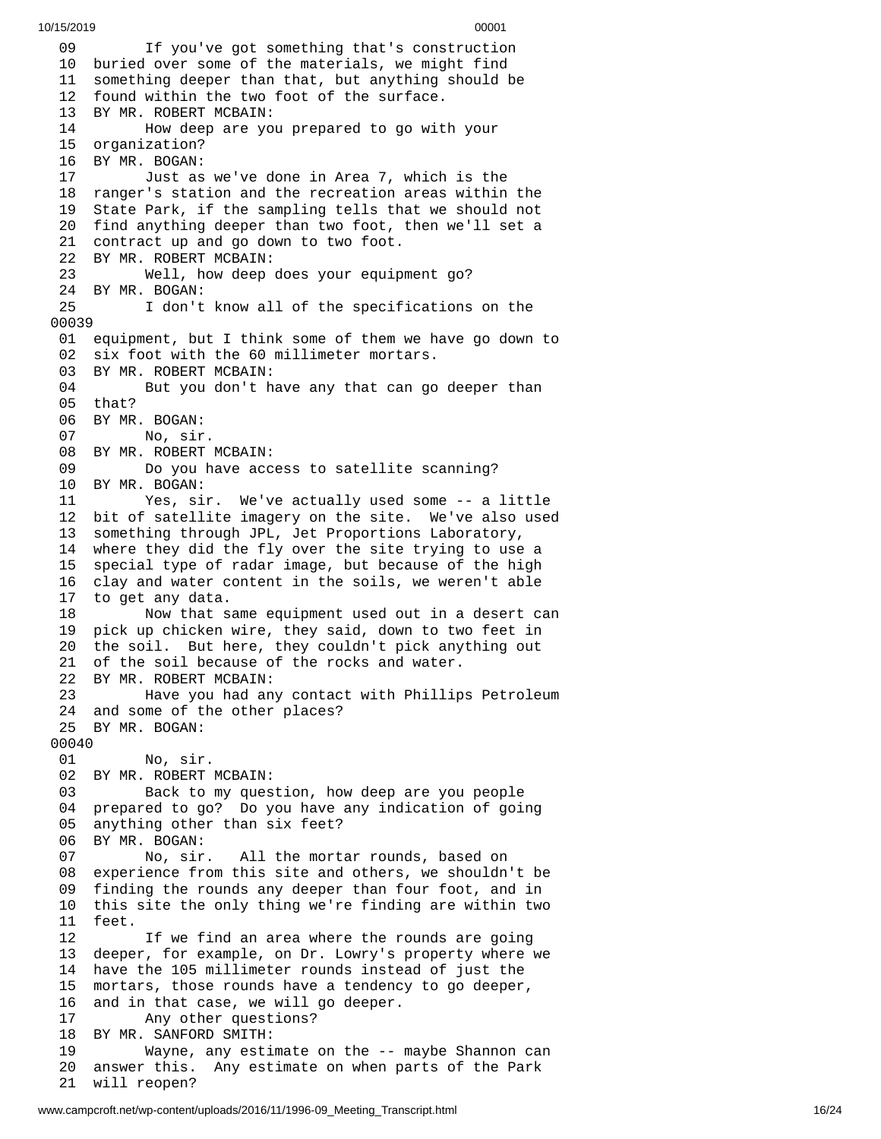0 9 If you've got something that's construction 10 buried over some of the materials, we might find 11 something deeper than that, but anything should be 12 found within the two foot of the surface. 13 BY MR. ROBERT MCBAIN: 14 How deep are you prepared to go wit h y o u r 15 organization? 16 BY MR. BOGAN: 17 Just as we've done in Area 7, which is the 18 ranger's station and the recreation areas within the 19 State Park, if the sampling tells that we should not 20 find anything deeper than two foot, then we'll set a 21 contract up and go down to two foot. 22 BY MR. ROBERT MCBAIN:<br>23 Well, how deep 23 Well, how deep does your equip m e n t g o ? 24 BY MR. BOGAN: 25 I don't know all of the specifications on the 0 0 0 3 9 01 equipment, but I think some of them we have go down to 02 six foot with the 60 millimeter mortars. 03 BY MR. ROBERT MCBAIN: 04 But you don't have any that can go deeper than 05 that? 06 BY MR. BOGAN: 07 No, sir. 08 BY MR. ROBERT MCBAIN: 09 Do you have access to satellite scanning? 10 BY MR. BOGAN: 11 Yes, sir. We've actually used some -- a little 12 bit of satellite imagery on the site. We've also used 13 something through JPL, Jet Proportions Laboratory, 14 where they did the fly over the site trying to use a 15 special type of radar image, but because of the high 16 clay and water content in the soils, we weren't able 17 to get any data. 18 Now that same equipment used out in a desert can 1 9 pick up chicken wire, they said, down to two feet in 20 the soil. But here, they couldn't pick anything out 21 of the soil because of the rocks and water. 22 BY MR. ROBERT MCBAIN: 23 Have you had any contact with Phillips Petroleum 24 and some of the other places? 25 BY MR. BOGAN: 00040 No, sir. 02 BY MR. ROBERT MCBAIN: 03 Back to my question, how deep are you people 04 prepared to go? Do you have any indication of going 05 anything other than six feet? 06 BY MR. BOGAN: 07 No, sir. A ll the mortar rounds, based on 08 experience from this site and others, we shouldn't be 0 9 finding the rounds any deeper than four foot, and in 10 this site the only thing we're finding are within two 11 feet. 12 If we find an area where the rounds are going 13 deeper, for example, on Dr. Lowry's property where we 1 4 have the 105 millimeter rounds instead of just the 1 5 mortars, those rounds have a tendency to go deeper, 1 6 and in that case, we will go deeper. 17 Any other questions? 18 BY MR. SANFORD SMITH: 19 Wayne, any estimate on the -- m a y b e S h a n n o n c a n 20 answer this. Any estimate on when parts of the Park 21 will reopen?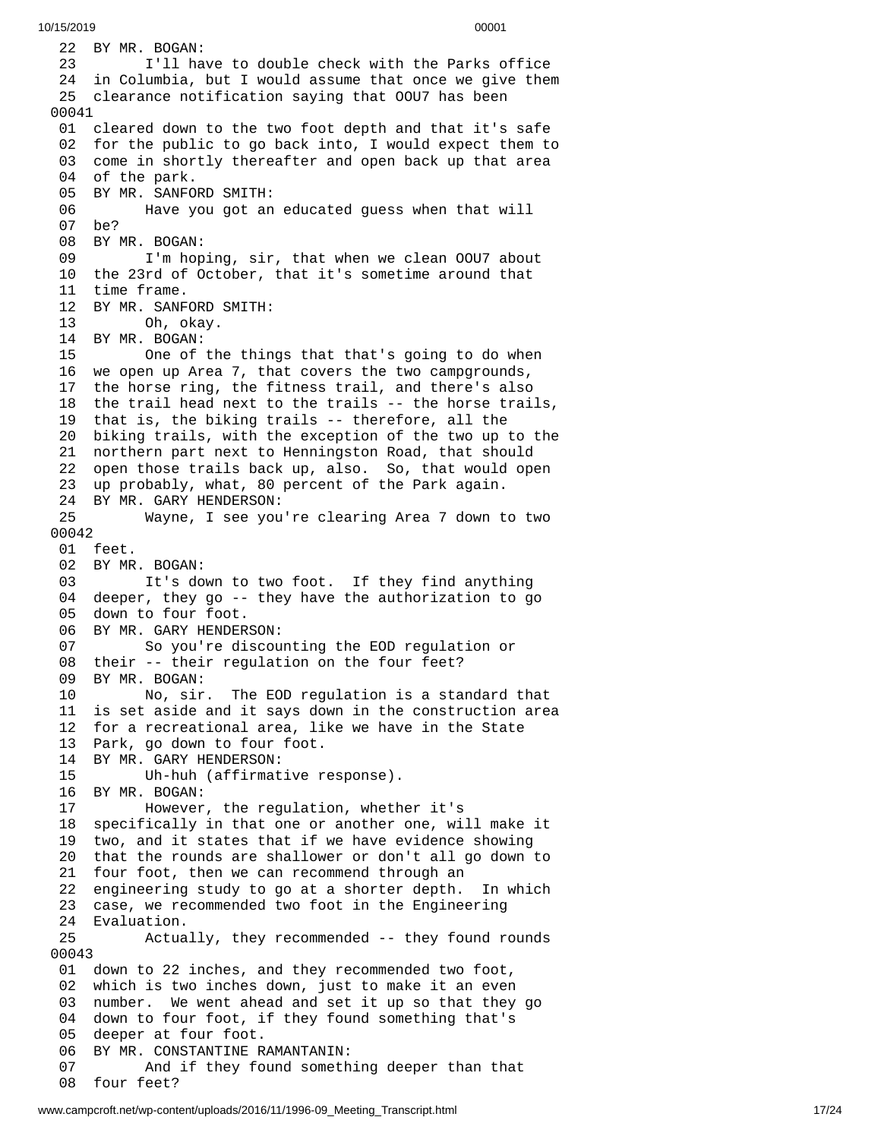22 BY MR. BOGAN: 23 I'll have to double check with the Parks office 24 in Columbia, but I would assume that once we give them 25 clearance notification saying that OOU7 has been 00041 01 cleared down to the two foot depth and that it's safe 02 for the public to go back into, I would expect them to 03 come in shortly thereafter and open back up that area 04 of the park. 05 BY MR. SANFORD SMITH: 06 Have you got an educated guess when that will 0 7 b e ? 08 BY MR. BOGAN: 09 I'm hoping, sir, that when we clean OOU7 about 10 the 23rd of October, that it's sometime around that 11 time frame. 12 BY MR. SANFORD SMITH: 13 Oh, okay. 14 BY MR. BOGAN: 15 One of the things that that's going to do when 16 we open up Area 7, that covers the two campgrounds, 17 the horse ring, the fitness trail, and there's also 18 the trail head next to the trails -- the horse trails, 19 that is, the biking trails -- therefore, all the 20 biking trails, with the exception of the two up to the 21 northern part next to Henningston Road, that should 22 open those trails back up, also. So, that would open 23 up probably, what, 80 percent of the Park again. 24 BY MR. GARY HENDERSON: 25 Wayne, I see you're clearing Area 7 down t o t w o 0 0 0 4 2 01 feet. 02 BY MR. BOGAN: 03 It's down to two foot. If they find anything 04 deeper, they go -- they have the authorization to go 05 down to four foot. 06 BY MR. GARY HENDERSON: 07 So you're discounting the EOD regulation or 08 their -- their regulation on the four feet? 09 BY MR. BOGAN: 10 No, sir. The EOD regulation is a standard that 11 is set aside and it says down in the construction area 12 for a recreational area, like we have in the State 13 Park, go down to four foot. 14 BY MR. GARY HENDERSON:<br>15 Uh-huh (affirmat 15 Uh-huh (affirmative r e s p o n s e ). 16 BY MR. BOGAN: 17 However, the regulation, wheth e r i t's 18 specifically in that one or another one, will make it 19 two, and it states that if we have evidence showing 20 that the rounds are shallower or don't all go down to 21 four foot, then we can recommend through an 22 engineering study to go at a shorter depth. In which 23 case, we recommended two foot in the Engineering 24 Evaluation. 25 Actua l l y , t h e y r e c o m m e n d e d - - t h e y f o u n d r o u n d s 0 0 0 4 3 01 down to 22 inches, and they recommended two foot, 02 which is two inches down, just to make it an even 03 number. We went ahead and set it up so that they go 04 down to four foot, if they found something that's 05 deeper at four foot. 06 BY MR. CONSTANTINE RAMANTANIN: 07 And if they found someth i n g d e e p e r t h a n t h a t 08 four feet?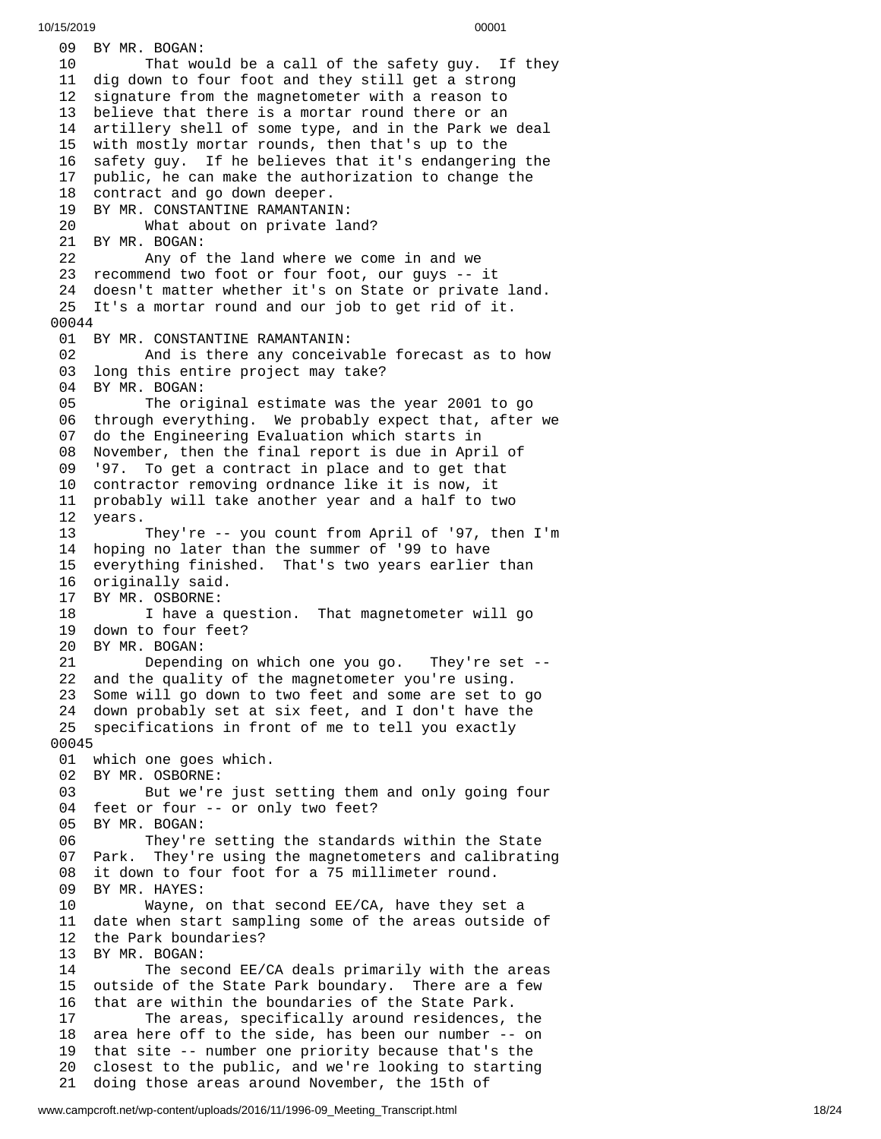09 BY MR. BOGAN: 10 That would be a call of the safety guy. If they 11 dig down to four foot and they still get a strong 12 signature from the magnetometer with a reason to 13 believe that there is a mortar round there or an 1 4 artillery shell of some type, and in the Park we deal 15 with mostly mortar rounds, then that's up to the 16 safety guy. If he believes that it's endangering the 1 7 public, he can make the authorization to change the 18 contract and go down deeper. 19 BY MR. CONSTANTINE RAMANTANI N: 20 What about on private la n d ? 21 BY MR. BOGAN: 22 Any of t h e l a n d w h e r e w e c o m e i n a n d w e 23 recommend two foot or four foot, our guys -- it 24 doesn't matter whether it's on State or private land. 25 It's a mortar round and our job to get rid of it. 00044 01 BY MR. CONSTANTINE RAMANTANIN: 02 And is there any conceivable forecast as to how long this entire project may take? 04 BY MR. BOGAN: The original estimate was the year 2001 to go 06 through everything. We probably expect that, after w e 0 7 do the Engineering Evaluation which starts in 08 November, then the final report is due in April of 09 9 '97. To get a contract in place and to get that 10 contractor removing ordnance like it is now, it 11 probably will take another year and a half to two 1 2 years. 13 They're -- you count from April of '97, then I'm 14 hoping no later than the summer of '99 to have 15 everything finished. That's two years earlier than 16 originally said. 17 BY MR. OSBORNE: 18 I have a question. That magnetometer will go 19 down to four feet? 20 BY MR. BOGAN: 21 Dependi n g o n w h i c h o n e y o u g o. T hey're set --22 and the quality of the magnetometer you're using. 23 Some will go down to two feet and some are set to g o 24 down probably set at six feet, and I don't have the 25 specifications in front of me to tell you exactly 0 0 0 4 5 01 which one goes which. 02 BY MR. OSBORNE: 03 But we're just setting them and only going four 04 feet or four -- or only two feet? 05 BY MR. BOGAN: 06 They're setting the standards within the State 0 7 Park. They're using the magnetometers and calibrating 08 it down to four foot for a 75 millimeter round. 09 BY MR. HAYES: 10 Wayne, on that second EE/CA, have they se t a 11 date when start sampling some of the areas outside of 12 the Park boundaries? 13 BY MR. BOGAN: 14 The second EE/CA deals primarily with the areas 15 outside of the State Park boundary. There are a few 16 that are within the boundaries of the State Park. 17 The areas, specifically around residences, t h e 18 area here off to the side, has been our number -- on 19 that site -- number one priority because that's the 20 closest to the public, and we're looking to starting 21 doing those areas around November, the 15th of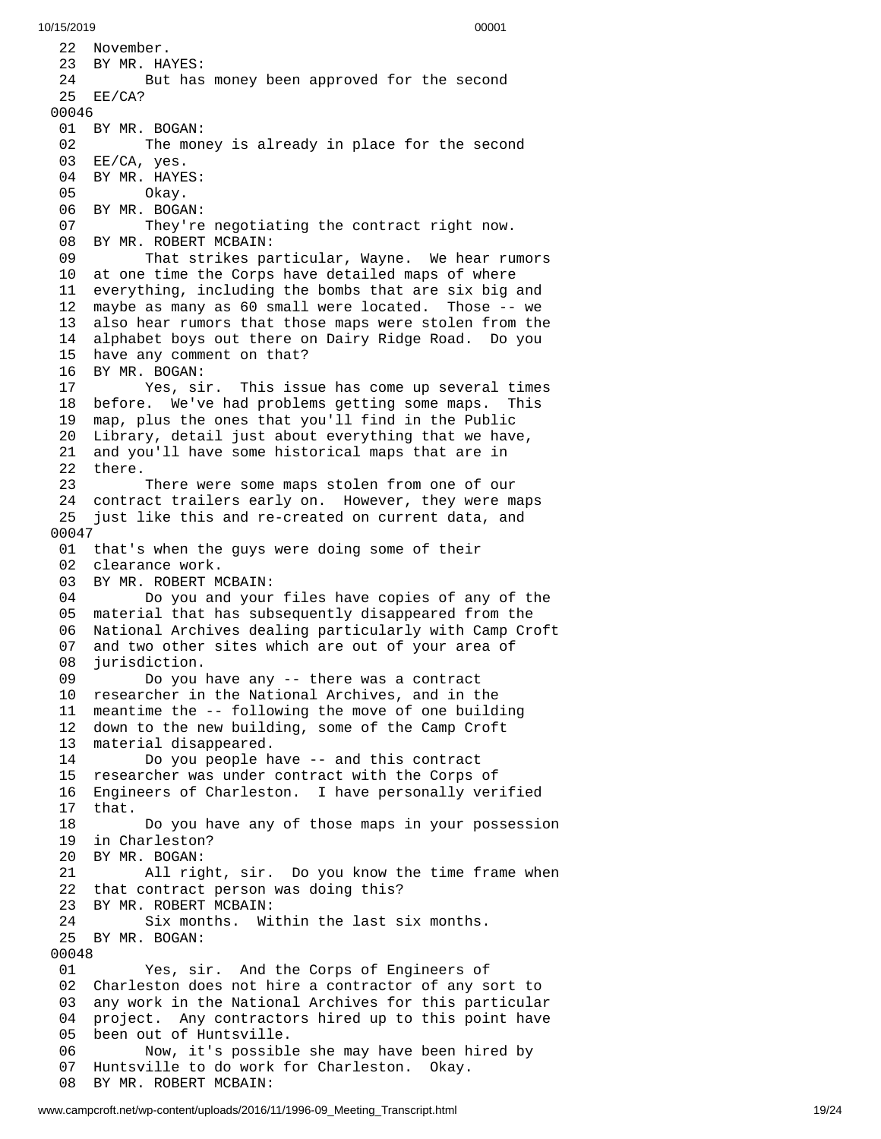22 November. 23 BY MR. HA Y E S: 24 But has money been approved for the second 25 EE/CA? 0 0 0 4 6 01 BY MR. BOGAN: 02 The money is already in place for the second 03 EE/CA, yes. 04 BY MR. HAYE S: 05 Okay. 06 BY MR. BOGAN: 07 They're negotiating the contract right now. 08 BY MR. ROBERT MCBAIN: 09 That strikes particular, Wayne. We hear rumors 10 at one time the Corps have detailed maps of where 11 everything, including the bombs that are six big and 1 2 maybe as many as 60 small were located. Those -- we 1 3 also hear rumors that those maps were stolen from the 1 4 alphabet boys out there on Dairy Ridge Road. Do you 15 have any comment on that? 16 BY MR. BOGAN: 17 Yes, sir. This issue has come up several times 18 before. We've had problems getting some maps. This 1 9 map, plus the ones that you'll find in the Public 2 0 Library, detail just about everything that we have, 21 and you'll have some historical maps that are in 22 there. 23 There were some maps stolen from one of our 24 contract trailers early on. However, they were maps 25 just like this and re-created on current data, and 0 0 0 4 7 01 that's when the guys were doing some of their 02 clearance work. 03 BY MR. ROBERT MCBAIN: 04 Do you and your f i l e s h a v e c o p i e s o f a n y o f t h e 0 5 material that has subsequently disappeared from the 0 6 National Archives dealing particularly with Camp Croft 0 7 and two other sites which are out of your area of 0 8 jurisdiction. 09 Do you have any -- there was a contract 10 researcher in the National Archives, and in the 1 1 meantime the -- following the move of one building 12 down to the new building, some of the Camp Croft 1 3 material disappeared. 14 Do you people h a v e - - a n d t h i s c o n t r a c t 15 researcher was under contract with the Corps of 16 Engineers of Charleston. I have personally verified 1 7 t h a t. 18 Do you have any of those maps in your possession 19 in Charleston? 20 BY MR. BOGAN: 21 All rig h t , s i r. D o y o u k n o w t h e t i m e f r a m e w h e n 22 that contract person was doing this? 23 BY MR. ROBERT MCBAIN: 24 Six months. Within the last six months. 25 BY MR. BOGAN: 00048 01 Yes, sir. And the Corps of Engineers of 02 Charleston does not hire a contractor of any sort to 0 3 any work in the National Archives for this particular 0 4 project. Any contractors hired up to this point have 05 been out of Huntsville. 06 Now, it's possible she may have been hired by 0 7 Huntsville to do work for Charleston. Okay. 08 BY MR. ROBERT MCBAIN: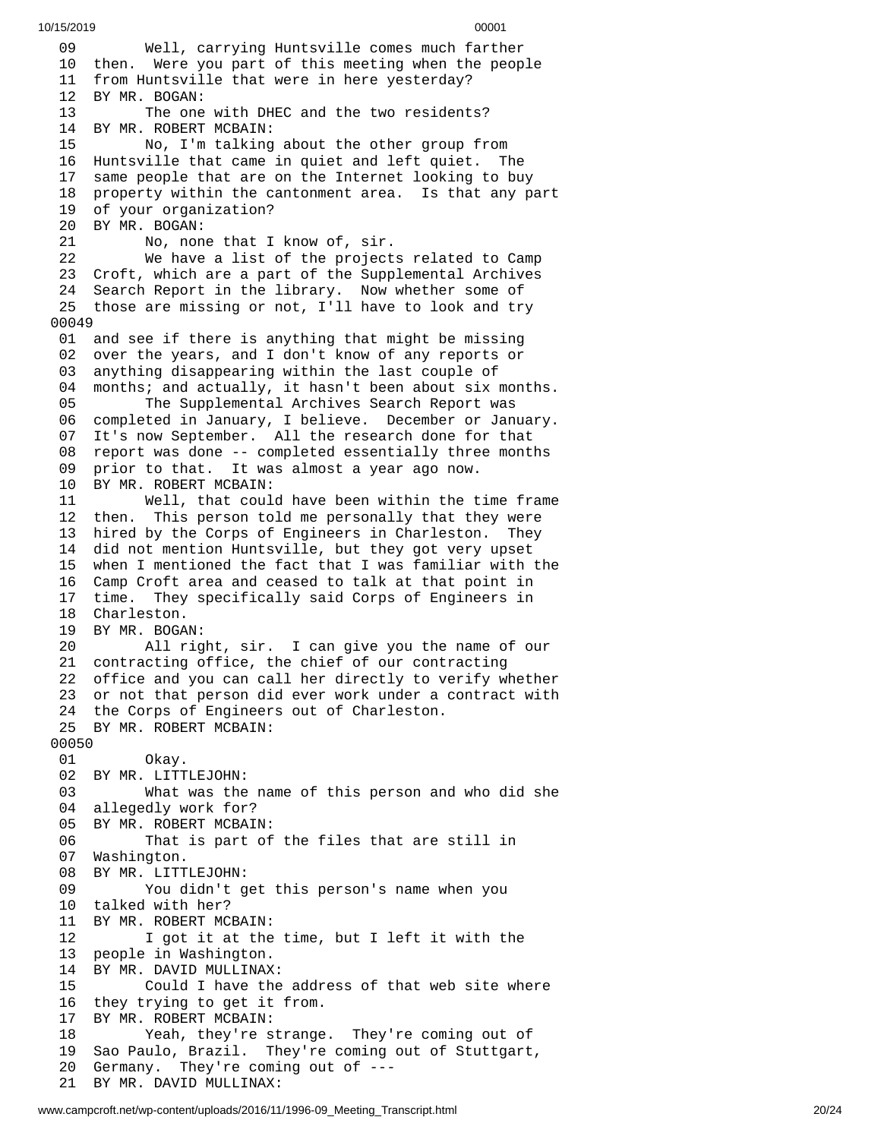10/15/2019 00001 9 Well, carrying Huntsville comes much farther 10 then. Were you part of this meeting when the people 11 from Huntsville that were in here yesterday? 2 B Y M R. B O G A N: 13 The one with DHEC and the two residents? 14 BY MR. ROBERT MCBAIN: No, I'm talking a b o u t t h e o t h e r g r o u p f r o m 16 Huntsville that came in quiet and left quiet. The 7 same people that are on the Internet looking to buy 8 property within the cantonment area. Is that any part 19 of your organization? 20 BY MR. BOGAN: No, non e t h a t I k n o w o f , s i r. We have a list of the project s r e l a t e d t o C a m p 23 Croft, which are a part of the Supplemental Archives 24 Search Report in the library. Now whether some of 25 those are missing or not, I'll have to look and try 0 0 4 9 01 and see if there is anything that might be missing 02 over the years, and I don't know of any reports or 3 anything disappearing within the last couple of 4 months; and actually, it hasn't been about six months. The Supplemental Archives Search Report was completed in January, I believe. December or January. It's now September. All the research done for that report was done -- completed essentially three months prior to that. It was almost a year ago now. BY MR. ROBERT MCBAIN: Well, that could have been within the time frame then. This person told me personally that they were hired by the Corps of Engineers in Charleston. They did not mention Huntsville, but they got very upset when I mentioned the fact that I was familiar with the Camp Croft area and ceased to talk at that point in time. They specifically said Corps of Engineers in Charleston. BY MR. BOGAN: All right, sir. I can give you the name of our contracting office, the chief of our contracting office and you can call her directly to verify whether or not that person did ever work under a contract with the Corps of Engineers out of Charleston. BY MR. ROBERT MCBAIN: 00050<br>01 0kay. BY MR. LITTLEJOHN: What was the name of this person and who did she allegedly work for? BY MR. ROBERT MCBAIN: That is part of the files that are still in Washington. BY MR. LITTLEJOHN: You didn't get this person's name when you talked with her? BY MR. ROBERT MCBAIN: I got it at the time, but I left it with the 13 people in Washington.<br>14 BY MR. DAVID MULLINAX BY MR. DAVID MULLINAX: Could I have the address of that web site where they trying to get it from. BY MR. ROBERT MCBAIN: Yeah, they're strange. They're coming out of Sao Paulo, Brazil. They're coming out of Stuttgart, Germany. They're coming out of ---

BY MR. DAVID MULLINAX: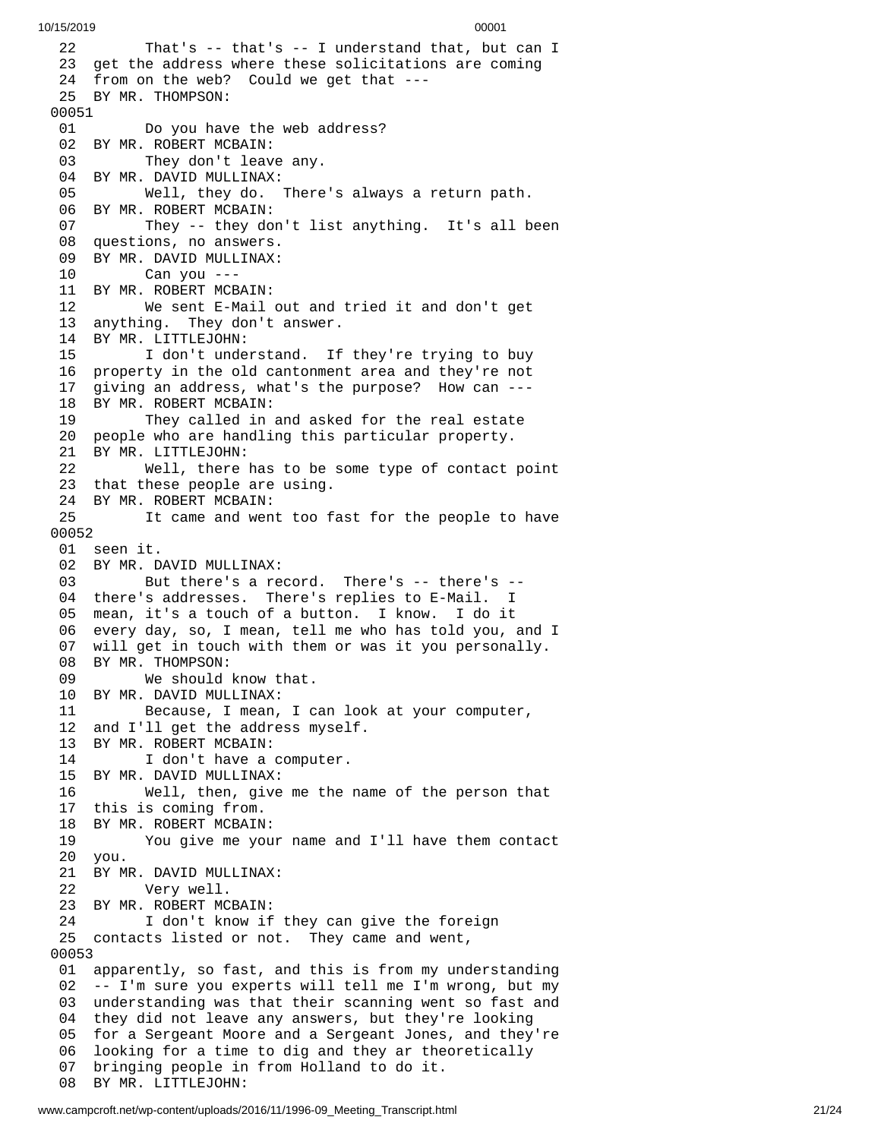2 2 That's -- that's -- I understand that, but can I 23 get the address where these solicitations are coming 24 from on the web? Could we get that ---25 BY MR. THOMPSON: 00051 01 Do you hav e t h e w e b a d d r e s s ? 02 BY MR. ROBERT MCBAIN: 03 They don't leave any. 04 BY MR. DAVID MULLINAX: 05 Well, they do. There's a l w a y s a r e t u r n p a t h. 06 BY MR. ROBERT MCBAIN: 07 They -- they don't list anything. It's all been 08 questions, no answers. 09 BY MR. DAVID MULLINAX: 10 Can you --- 11 BY MR. ROBERT MCBAIN: 12 We sent E-Mail o u t a n d t r i e d i t a n d d o n't g e t 13 anything. They don't answer. 14 BY MR. LITTLEJOHN: 15 I don't understand. If they're trying to buy 1 6 property in the old cantonment area and they're not 1 7 giving an address, what's the purpose? How can ---18 BY MR. ROBERT MCBAIN: 19 They called in and asked for the real estate 20 people who are handling this particular property. 21 BY MR. LITTLEJOHN: 22 Well, there has to be some type of contact p o i n t 23 that these people are using. 24 BY MR. ROBERT MCBAIN: 25 It came and went too fast for the people to have 0 0 0 5 2 01 seen it. 02 BY MR. DAVID MULLINAX: 03 But there's a record. There's -- there's --04 there's addresses. There's replies to E-Mail. I 0 5 mean, it's a touch of a button. I know. I do it 06 every day, so, I mean, tell me who has told you, and I 07 will get in touch with them or was it you personally. 08 BY MR. THOMPSON:<br>09 We should We should know that. 10 BY MR. DAVID MULLINAX: 11 Because, I mean, I can look at your computer, 12 and I'll get the address myself. 13 BY MR. ROBERT MCBAIN: 14 I don't have a computer. 15 BY MR. DAVID MULLINAX: 16 Well, then, give me the name of the person that 17 this is coming from. 18 BY MR. ROBERT MCBAIN: 19 You give me your name and I'll have them contac t 20 you. 21 BY MR. DAVID MULLINAX: 22 Very well. 23 BY MR. ROBERT MCBAIN: 24 I don't know if they can give the foreign 25 contacts listed or not. They came and went, 0 0 0 5 3 01 apparently, so fast, and this is from my understanding 0 2 -- I'm sure you experts will tell me I'm wrong, but my 03 understanding was that their scanning went so fast and 04 they did not leave any answers, but they're looking 05 for a Sergeant Moore and a Sergeant Jones, and they're 06 looking for a time to dig and they ar theoretically 0 7 bringing people in from Holland to do it. 08 BY MR. LITTLEJOHN: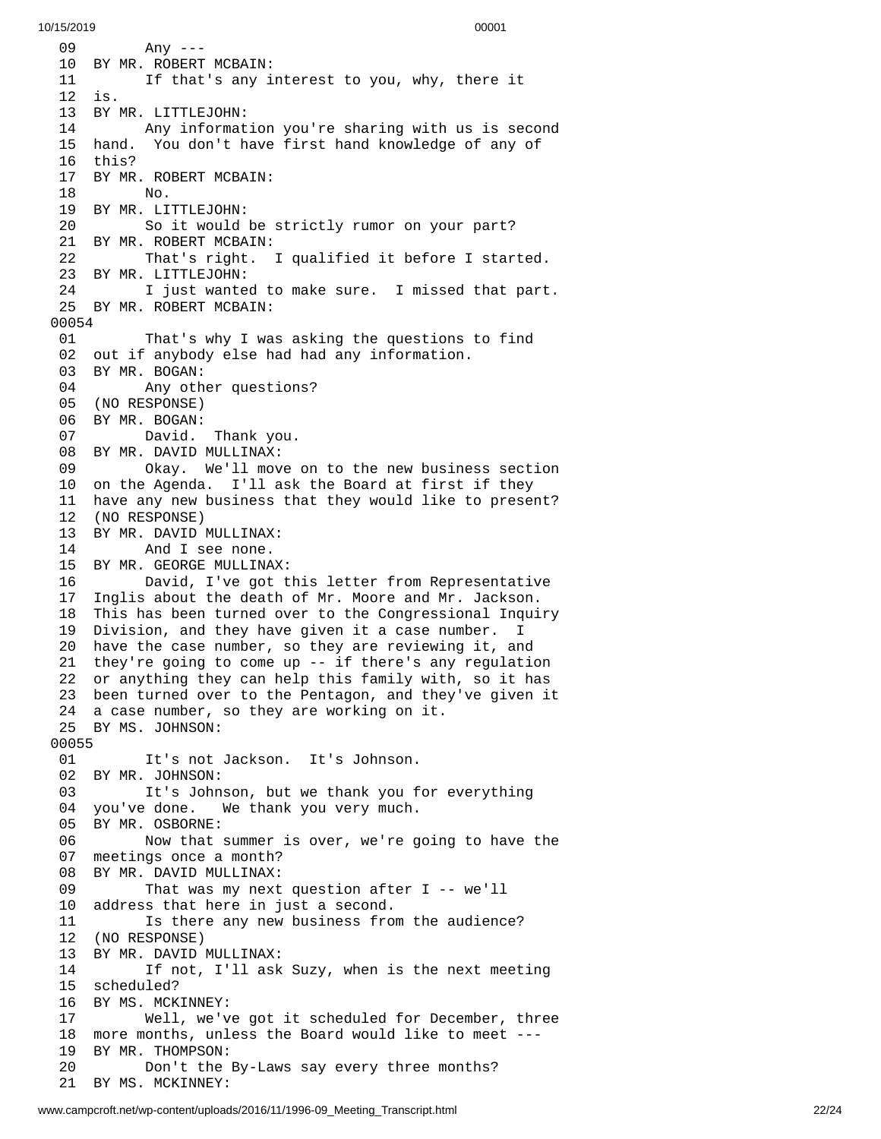9 Any ---10 BY MR. ROBERT MCBAIN: 11 If that's any interest to you, why, there it 2 i s. 13 BY MR. LITTLEJOHN: Any informat i o n y o u'r e s h a r i n g w i t h u s i s s e c o n d 15 hand. You don't have first hand knowledge of any of 6 t h i s ? 17 BY MR. ROBERT MCBAIN: No. BY MR. LITTLEJOHN: 20 So it would be strictly rumor on your part? 21 BY MR. ROBERT MCBAIN: 22 That's right. I qualified it before I started. BY MR. LITTLEJOHN: I just wanted to make sure. I missed that part. BY MR. ROBERT MCBAIN: That's why I was asking the questions to find out if anybody else had had any information. BY MR. BOGAN: Any other questions? (NO RESPONSE) BY MR. BOGAN: David. Thank you. BY MR. DAVID MULLINAX: Okay. We'll move on to the new business section on the Agenda. I'll ask the Board at first if they have any new business that they would like to present? (NO RESPONSE) BY MR. DAVID MULLINAX: And I see none. BY MR. GEORGE MULLINAX: David, I've got this letter from Representative Inglis about the death of Mr. Moore and Mr. Jackson. This has been turned over to the Congressional Inquiry Division, and they have given it a case number. I have the case number, so they are reviewing it, and they're going to come up -- if there's any regulation or anything they can help this family with, so it has been turned over to the Pentagon, and they've given it a case number, so they are working on it. BY MS. JOHNSON: It's not Jackson. It's Johnson. BY MR. JOHNSON: It's Johnson, but we thank you for everything you've done. We thank you very much. BY MR. OSBORNE: Now that summer is over, we're going to have the meetings once a month? BY MR. DAVID MULLINAX: That was my next question after I -- we'll address that here in just a second. Is there any new business from the audience? (NO RESPONSE) BY MR. DAVID MULLINAX: If not, I'll ask Suzy, when is the next meeting scheduled? 16 BY MS. MCKINNEY:<br>17 Well, we'v Well, we've got it scheduled for December, three more months, unless the Board would like to meet --- BY MR. THOMPSON: Don't the By-Laws say every three months? BY MS. MCKINNEY: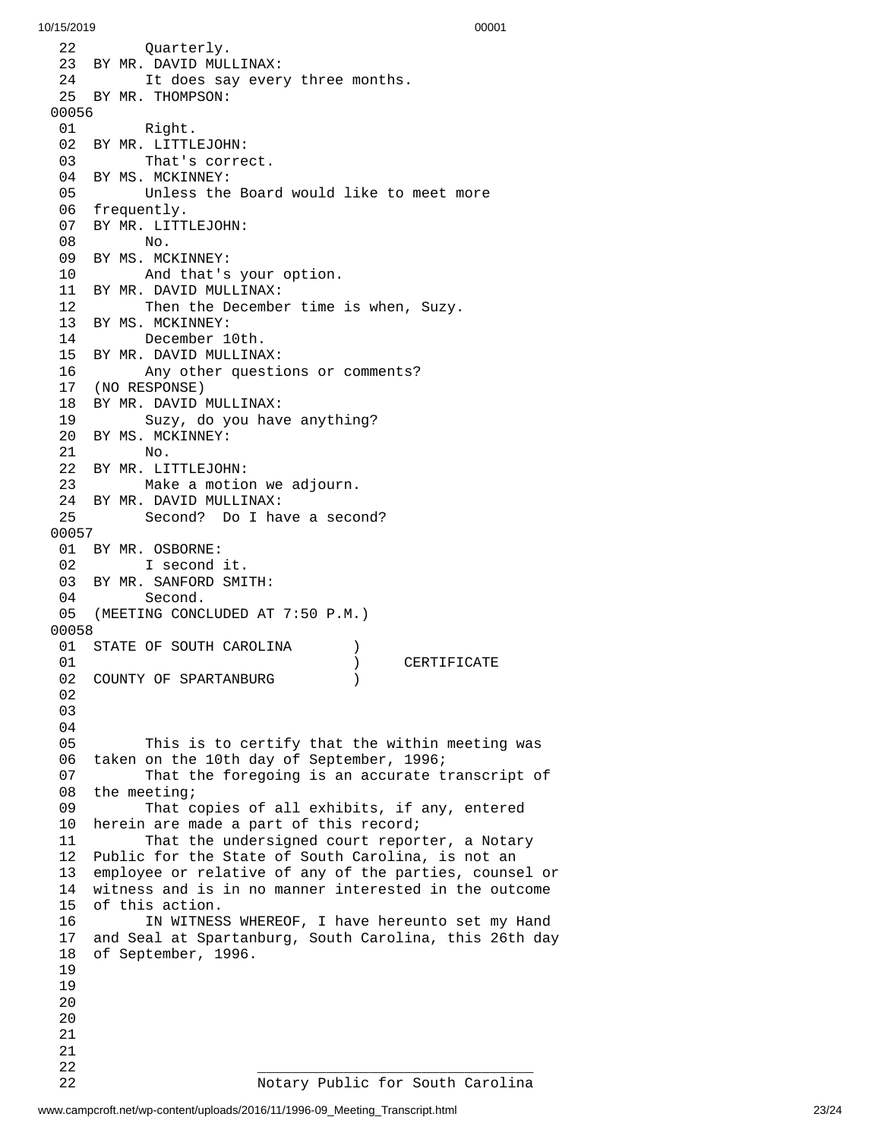2 2 Quarterly. 23 BY MR. DAVID MULLINAX: 24 It does say every three months. 25 BY MR. THOMPSON: 00056 01 Right. 02 BY MR. LITTLEJOHN: 03 That's correct. 04 BY MS. MCKINNEY: 05 Unless the Board would like to meet more 06 frequently. 07 BY MR. LITTLEJOHN: 08 No. 09 BY MS. MCKINNEY: 10 And that's y o u r o p t i o n. 11 BY MR. DAVID MULLINAX: 12 Then the December time is when, Suzy. 13 BY MS. MCKINNEY: 14 December 10th. 15 BY MR. DAVID MULLINAX: 16 Any other questions or comments? 17 (NO RESPONSE) 18 BY MR. DAVID MULLINAX: 19 Suzy, do you have anything? 20 BY MS. MCKINNEY: 21 No. 22 BY MR. LITTLEJOHN: 23 Make a motion we adjourn. 24 BY MR. DAVID MULLINAX: 25 Second? Do I have a second? 0 0 0 5 7 01 BY MR. OSBORNE: 02 I second i t. 03 BY MR. SANFORD SMI T H: 04 Second. 05 (MEETING CONCLUDED AT 7:5 0 P.M.) 0 0 0 5 8 01 STATE OF SOUTH CAROLINA ) 0 1 CERTIFICATE ) 02 COUNTY OF SPARTANBURG ) 0 2 0 3 0 4 0 5 This is to certify that the within meeting was 06 taken on the 10th day of September, 1996; 0 7 That the foregoing is an accurate transcript of 08 the meeting; 0 9 That copies of all exhibits, if any, entered 10 herein are made a part of this record; 1 1 That the undersigned court reporter, a Notary 12 Public for the State of South Carolina, is not an 13 employee or relative of any of the parties, counsel or 14 witness and is in no manner interested in the outcome 15 of this action. 16 IN WITNESS WHEREOF, I have hereunto set my Hand 1 7 and Seal at Spartanburg, South Carolina, this 26th day 1 8 of September, 1996. 19 19<br>1900<br>2011<br>22<br>22 19 20 20 21 21 22 \_\_\_\_\_\_\_\_\_\_\_\_\_\_\_\_\_\_\_\_\_\_\_\_\_\_\_\_\_\_\_\_ 2 2 Notary Public for South Carolina